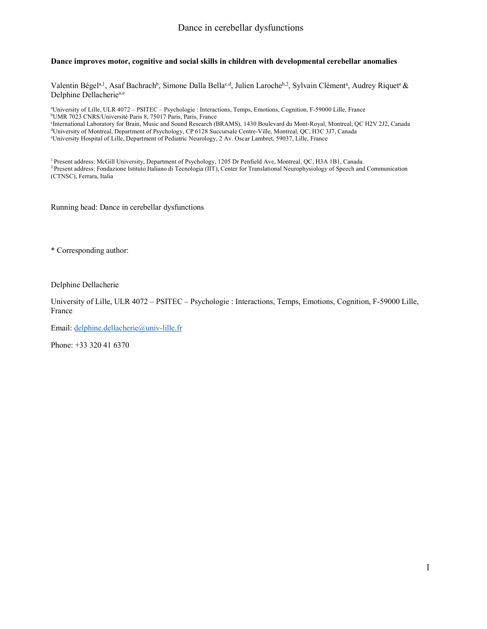### **Dance improves motor, cognitive and social skills in children with developmental cerebellar anomalies**

Valentin Bégel<sup>a, 1</sup>, Asaf Bachrach<sup>b</sup>, Simone Dalla Bella<sup>c, d</sup>, Julien Laroche<sup>b, 2</sup>, Sylvain Clément<sup>a</sup>, Audrey Riquet<sup>e</sup> & Delphine Dellacherie<sup>a,e</sup>

a University of Lille, ULR 4072 – PSITEC – Psychologie : Interactions, Temps, Emotions, Cognition, F-59000 Lille, France b UMR 7023 CNRS/Université Paris 8, 75017 Paris, Paris, France c International Laboratory for Brain, Music and Sound Research (BRAMS), 1430 Boulevard du Mont-Royal, Montreal, QC H2V 2J2, Canada d University of Montreal, Department of Psychology, CP 6128 Succursale Centre-Ville, Montreal, QC, H3C 3J7, Canada

e University Hospital of Lille, Department of Pediatric Neurology, 2 Av. Oscar Lambret, 59037, Lille, France

1 Present address: McGill University, Department of Psychology, 1205 Dr Penfield Ave, Montreal, QC, H3A 1B1, Canada. <sup>2</sup> Present address: Fondazione Istituto Italiano di Tecnologia (IIT), Center for Translational Neurophysiology of Speech and Communication (CTNSC), Ferrara, Italia

Running head: Dance in cerebellar dysfunctions

\* Corresponding author:

Delphine Dellacherie

University of Lille, ULR 4072 – PSITEC – Psychologie : Interactions, Temps, Emotions, Cognition, F-59000 Lille, France

Email: delphine.dellacherie@univ-lille.fr

Phone: +33 320 41 6370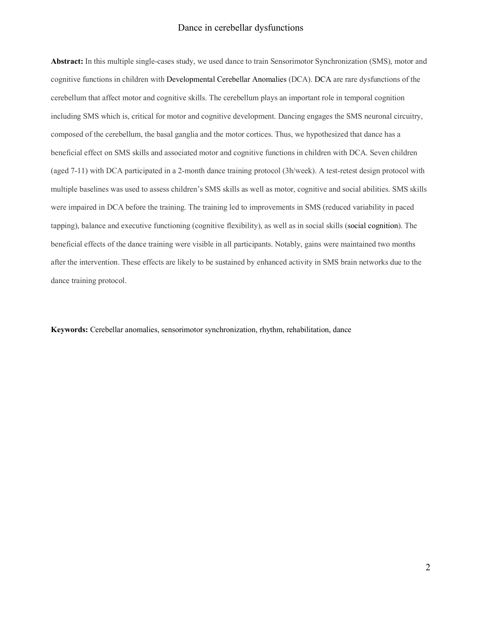**Abstract:** In this multiple single-cases study, we used dance to train Sensorimotor Synchronization (SMS), motor and cognitive functions in children with Developmental Cerebellar Anomalies (DCA). DCA are rare dysfunctions of the cerebellum that affect motor and cognitive skills. The cerebellum plays an important role in temporal cognition including SMS which is, critical for motor and cognitive development. Dancing engages the SMS neuronal circuitry, composed of the cerebellum, the basal ganglia and the motor cortices. Thus, we hypothesized that dance has a beneficial effect on SMS skills and associated motor and cognitive functions in children with DCA. Seven children (aged 7-11) with DCA participated in a 2-month dance training protocol (3h/week). A test-retest design protocol with multiple baselines was used to assess children's SMS skills as well as motor, cognitive and social abilities. SMS skills were impaired in DCA before the training. The training led to improvements in SMS (reduced variability in paced tapping), balance and executive functioning (cognitive flexibility), as well as in social skills (social cognition). The beneficial effects of the dance training were visible in all participants. Notably, gains were maintained two months after the intervention. These effects are likely to be sustained by enhanced activity in SMS brain networks due to the dance training protocol.

**Keywords:** Cerebellar anomalies, sensorimotor synchronization, rhythm, rehabilitation, dance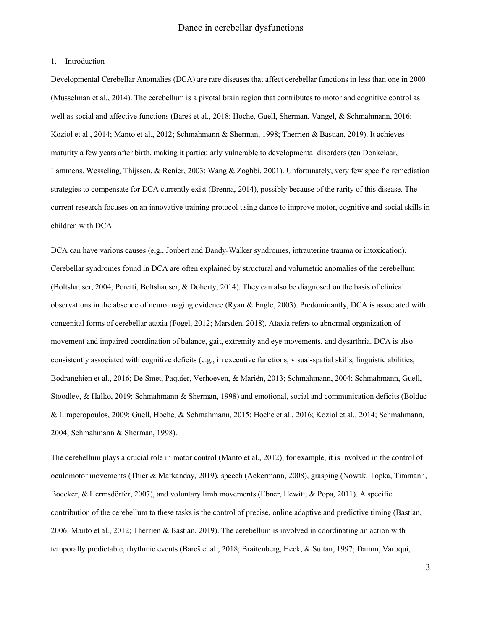#### 1. Introduction

Developmental Cerebellar Anomalies (DCA) are rare diseases that affect cerebellar functions in less than one in 2000 (Musselman et al., 2014). The cerebellum is a pivotal brain region that contributes to motor and cognitive control as well as social and affective functions (Bareš et al., 2018; Hoche, Guell, Sherman, Vangel, & Schmahmann, 2016; Koziol et al., 2014; Manto et al., 2012; Schmahmann & Sherman, 1998; Therrien & Bastian, 2019). It achieves maturity a few years after birth, making it particularly vulnerable to developmental disorders (ten Donkelaar, Lammens, Wesseling, Thijssen, & Renier, 2003; Wang & Zoghbi, 2001). Unfortunately, very few specific remediation strategies to compensate for DCA currently exist (Brenna, 2014), possibly because of the rarity of this disease. The current research focuses on an innovative training protocol using dance to improve motor, cognitive and social skills in children with DCA.

DCA can have various causes (e.g., Joubert and Dandy-Walker syndromes, intrauterine trauma or intoxication). Cerebellar syndromes found in DCA are often explained by structural and volumetric anomalies of the cerebellum (Boltshauser, 2004; Poretti, Boltshauser, & Doherty, 2014). They can also be diagnosed on the basis of clinical observations in the absence of neuroimaging evidence (Ryan & Engle, 2003). Predominantly, DCA is associated with congenital forms of cerebellar ataxia (Fogel, 2012; Marsden, 2018). Ataxia refers to abnormal organization of movement and impaired coordination of balance, gait, extremity and eye movements, and dysarthria. DCA is also consistently associated with cognitive deficits (e.g., in executive functions, visual-spatial skills, linguistic abilities; Bodranghien et al., 2016; De Smet, Paquier, Verhoeven, & Mariën, 2013; Schmahmann, 2004; Schmahmann, Guell, Stoodley, & Halko, 2019; Schmahmann & Sherman, 1998) and emotional, social and communication deficits (Bolduc & Limperopoulos, 2009; Guell, Hoche, & Schmahmann, 2015; Hoche et al., 2016; Koziol et al., 2014; Schmahmann, 2004; Schmahmann & Sherman, 1998).

The cerebellum plays a crucial role in motor control (Manto et al., 2012); for example, it is involved in the control of oculomotor movements (Thier & Markanday, 2019), speech (Ackermann, 2008), grasping (Nowak, Topka, Timmann, Boecker, & Hermsdörfer, 2007), and voluntary limb movements (Ebner, Hewitt, & Popa, 2011). A specific contribution of the cerebellum to these tasks is the control of precise, online adaptive and predictive timing (Bastian, 2006; Manto et al., 2012; Therrien & Bastian, 2019). The cerebellum is involved in coordinating an action with temporally predictable, rhythmic events (Bareš et al., 2018; Braitenberg, Heck, & Sultan, 1997; Damm, Varoqui,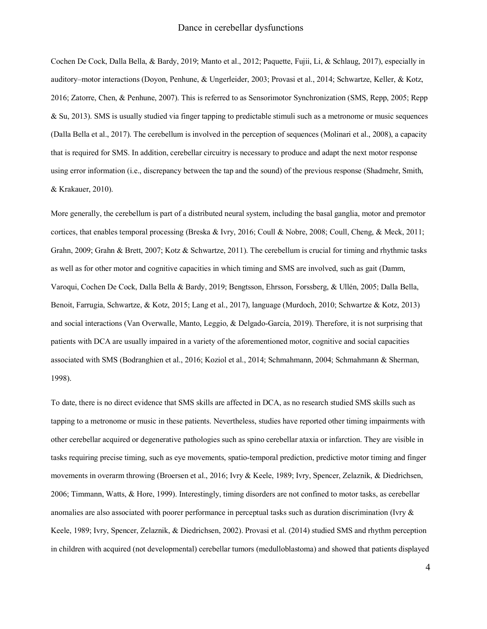Cochen De Cock, Dalla Bella, & Bardy, 2019; Manto et al., 2012; Paquette, Fujii, Li, & Schlaug, 2017), especially in auditory–motor interactions (Doyon, Penhune, & Ungerleider, 2003; Provasi et al., 2014; Schwartze, Keller, & Kotz, 2016; Zatorre, Chen, & Penhune, 2007). This is referred to as Sensorimotor Synchronization (SMS, Repp, 2005; Repp & Su, 2013). SMS is usually studied via finger tapping to predictable stimuli such as a metronome or music sequences (Dalla Bella et al., 2017). The cerebellum is involved in the perception of sequences (Molinari et al., 2008), a capacity that is required for SMS. In addition, cerebellar circuitry is necessary to produce and adapt the next motor response using error information (i.e., discrepancy between the tap and the sound) of the previous response (Shadmehr, Smith, & Krakauer, 2010).

More generally, the cerebellum is part of a distributed neural system, including the basal ganglia, motor and premotor cortices, that enables temporal processing (Breska & Ivry, 2016; Coull & Nobre, 2008; Coull, Cheng, & Meck, 2011; Grahn, 2009; Grahn & Brett, 2007; Kotz & Schwartze, 2011). The cerebellum is crucial for timing and rhythmic tasks as well as for other motor and cognitive capacities in which timing and SMS are involved, such as gait (Damm, Varoqui, Cochen De Cock, Dalla Bella & Bardy, 2019; Bengtsson, Ehrsson, Forssberg, & Ullén, 2005; Dalla Bella, Benoit, Farrugia, Schwartze, & Kotz, 2015; Lang et al., 2017), language (Murdoch, 2010; Schwartze & Kotz, 2013) and social interactions (Van Overwalle, Manto, Leggio, & Delgado-García, 2019). Therefore, it is not surprising that patients with DCA are usually impaired in a variety of the aforementioned motor, cognitive and social capacities associated with SMS (Bodranghien et al., 2016; Koziol et al., 2014; Schmahmann, 2004; Schmahmann & Sherman, 1998).

To date, there is no direct evidence that SMS skills are affected in DCA, as no research studied SMS skills such as tapping to a metronome or music in these patients. Nevertheless, studies have reported other timing impairments with other cerebellar acquired or degenerative pathologies such as spino cerebellar ataxia or infarction. They are visible in tasks requiring precise timing, such as eye movements, spatio-temporal prediction, predictive motor timing and finger movements in overarm throwing (Broersen et al., 2016; Ivry & Keele, 1989; Ivry, Spencer, Zelaznik, & Diedrichsen, 2006; Timmann, Watts, & Hore, 1999). Interestingly, timing disorders are not confined to motor tasks, as cerebellar anomalies are also associated with poorer performance in perceptual tasks such as duration discrimination (Ivry & Keele, 1989; Ivry, Spencer, Zelaznik, & Diedrichsen, 2002). Provasi et al. (2014) studied SMS and rhythm perception in children with acquired (not developmental) cerebellar tumors (medulloblastoma) and showed that patients displayed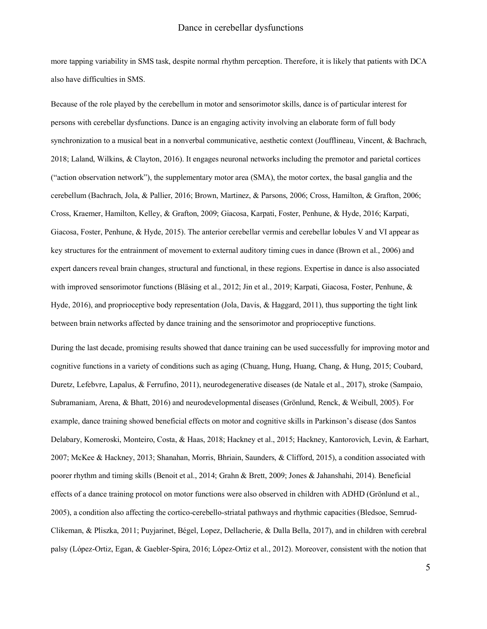more tapping variability in SMS task, despite normal rhythm perception. Therefore, it is likely that patients with DCA also have difficulties in SMS.

Because of the role played by the cerebellum in motor and sensorimotor skills, dance is of particular interest for persons with cerebellar dysfunctions. Dance is an engaging activity involving an elaborate form of full body synchronization to a musical beat in a nonverbal communicative, aesthetic context (Joufflineau, Vincent, & Bachrach, 2018; Laland, Wilkins, & Clayton, 2016). It engages neuronal networks including the premotor and parietal cortices ("action observation network"), the supplementary motor area (SMA), the motor cortex, the basal ganglia and the cerebellum (Bachrach, Jola, & Pallier, 2016; Brown, Martinez, & Parsons, 2006; Cross, Hamilton, & Grafton, 2006; Cross, Kraemer, Hamilton, Kelley, & Grafton, 2009; Giacosa, Karpati, Foster, Penhune, & Hyde, 2016; Karpati, Giacosa, Foster, Penhune, & Hyde, 2015). The anterior cerebellar vermis and cerebellar lobules V and VI appear as key structures for the entrainment of movement to external auditory timing cues in dance (Brown et al., 2006) and expert dancers reveal brain changes, structural and functional, in these regions. Expertise in dance is also associated with improved sensorimotor functions (Bläsing et al., 2012; Jin et al., 2019; Karpati, Giacosa, Foster, Penhune, & Hyde, 2016), and proprioceptive body representation (Jola, Davis, & Haggard, 2011), thus supporting the tight link between brain networks affected by dance training and the sensorimotor and proprioceptive functions.

During the last decade, promising results showed that dance training can be used successfully for improving motor and cognitive functions in a variety of conditions such as aging (Chuang, Hung, Huang, Chang, & Hung, 2015; Coubard, Duretz, Lefebvre, Lapalus, & Ferrufino, 2011), neurodegenerative diseases (de Natale et al., 2017), stroke (Sampaio, Subramaniam, Arena, & Bhatt, 2016) and neurodevelopmental diseases (Grönlund, Renck, & Weibull, 2005). For example, dance training showed beneficial effects on motor and cognitive skills in Parkinson's disease (dos Santos Delabary, Komeroski, Monteiro, Costa, & Haas, 2018; Hackney et al., 2015; Hackney, Kantorovich, Levin, & Earhart, 2007; McKee & Hackney, 2013; Shanahan, Morris, Bhriain, Saunders, & Clifford, 2015), a condition associated with poorer rhythm and timing skills (Benoit et al., 2014; Grahn & Brett, 2009; Jones & Jahanshahi, 2014). Beneficial effects of a dance training protocol on motor functions were also observed in children with ADHD (Grönlund et al., 2005), a condition also affecting the cortico-cerebello-striatal pathways and rhythmic capacities (Bledsoe, Semrud-Clikeman, & Pliszka, 2011; Puyjarinet, Bégel, Lopez, Dellacherie, & Dalla Bella, 2017), and in children with cerebral palsy (López-Ortiz, Egan, & Gaebler-Spira, 2016; López-Ortiz et al., 2012). Moreover, consistent with the notion that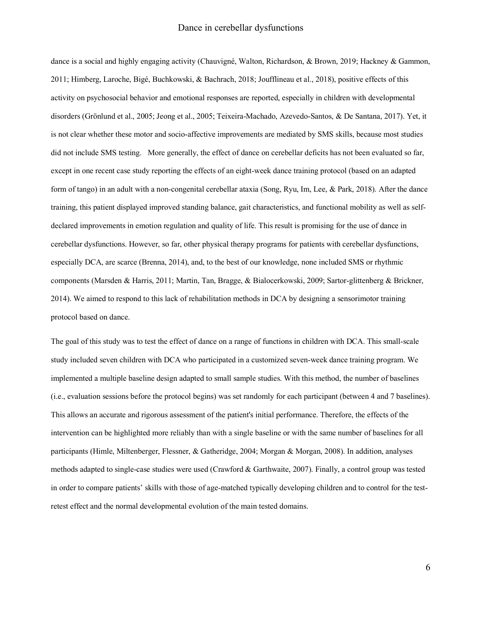dance is a social and highly engaging activity (Chauvigné, Walton, Richardson, & Brown, 2019; Hackney & Gammon, 2011; Himberg, Laroche, Bigé, Buchkowski, & Bachrach, 2018; Joufflineau et al., 2018), positive effects of this activity on psychosocial behavior and emotional responses are reported, especially in children with developmental disorders (Grönlund et al., 2005; Jeong et al., 2005; Teixeira-Machado, Azevedo-Santos, & De Santana, 2017). Yet, it is not clear whether these motor and socio-affective improvements are mediated by SMS skills, because most studies did not include SMS testing. More generally, the effect of dance on cerebellar deficits has not been evaluated so far, except in one recent case study reporting the effects of an eight-week dance training protocol (based on an adapted form of tango) in an adult with a non-congenital cerebellar ataxia (Song, Ryu, Im, Lee, & Park, 2018). After the dance training, this patient displayed improved standing balance, gait characteristics, and functional mobility as well as selfdeclared improvements in emotion regulation and quality of life. This result is promising for the use of dance in cerebellar dysfunctions. However, so far, other physical therapy programs for patients with cerebellar dysfunctions, especially DCA, are scarce (Brenna, 2014), and, to the best of our knowledge, none included SMS or rhythmic components (Marsden & Harris, 2011; Martin, Tan, Bragge, & Bialocerkowski, 2009; Sartor-glittenberg & Brickner, 2014). We aimed to respond to this lack of rehabilitation methods in DCA by designing a sensorimotor training protocol based on dance.

The goal of this study was to test the effect of dance on a range of functions in children with DCA. This small-scale study included seven children with DCA who participated in a customized seven-week dance training program. We implemented a multiple baseline design adapted to small sample studies. With this method, the number of baselines (i.e., evaluation sessions before the protocol begins) was set randomly for each participant (between 4 and 7 baselines). This allows an accurate and rigorous assessment of the patient's initial performance. Therefore, the effects of the intervention can be highlighted more reliably than with a single baseline or with the same number of baselines for all participants (Himle, Miltenberger, Flessner, & Gatheridge, 2004; Morgan & Morgan, 2008). In addition, analyses methods adapted to single-case studies were used (Crawford & Garthwaite, 2007). Finally, a control group was tested in order to compare patients' skills with those of age-matched typically developing children and to control for the testretest effect and the normal developmental evolution of the main tested domains.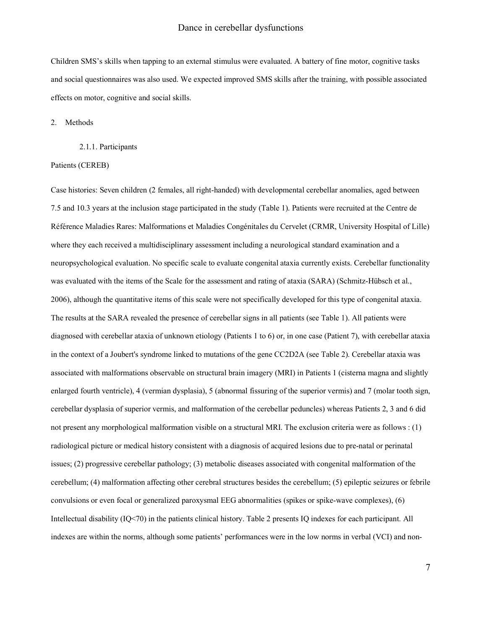Children SMS's skills when tapping to an external stimulus were evaluated. A battery of fine motor, cognitive tasks and social questionnaires was also used. We expected improved SMS skills after the training, with possible associated effects on motor, cognitive and social skills.

2. Methods

#### 2.1.1. Participants

#### Patients (CEREB)

Case histories: Seven children (2 females, all right-handed) with developmental cerebellar anomalies, aged between 7.5 and 10.3 years at the inclusion stage participated in the study (Table 1). Patients were recruited at the Centre de Référence Maladies Rares: Malformations et Maladies Congénitales du Cervelet (CRMR, University Hospital of Lille) where they each received a multidisciplinary assessment including a neurological standard examination and a neuropsychological evaluation. No specific scale to evaluate congenital ataxia currently exists. Cerebellar functionality was evaluated with the items of the Scale for the assessment and rating of ataxia (SARA) (Schmitz-Hübsch et al., 2006), although the quantitative items of this scale were not specifically developed for this type of congenital ataxia. The results at the SARA revealed the presence of cerebellar signs in all patients (see Table 1). All patients were diagnosed with cerebellar ataxia of unknown etiology (Patients 1 to 6) or, in one case (Patient 7), with cerebellar ataxia in the context of a Joubert's syndrome linked to mutations of the gene CC2D2A (see Table 2). Cerebellar ataxia was associated with malformations observable on structural brain imagery (MRI) in Patients 1 (cisterna magna and slightly enlarged fourth ventricle), 4 (vermian dysplasia), 5 (abnormal fissuring of the superior vermis) and 7 (molar tooth sign, cerebellar dysplasia of superior vermis, and malformation of the cerebellar peduncles) whereas Patients 2, 3 and 6 did not present any morphological malformation visible on a structural MRI. The exclusion criteria were as follows : (1) radiological picture or medical history consistent with a diagnosis of acquired lesions due to pre-natal or perinatal issues; (2) progressive cerebellar pathology; (3) metabolic diseases associated with congenital malformation of the cerebellum; (4) malformation affecting other cerebral structures besides the cerebellum; (5) epileptic seizures or febrile convulsions or even focal or generalized paroxysmal EEG abnormalities (spikes or spike-wave complexes), (6) Intellectual disability (IQ<70) in the patients clinical history. Table 2 presents IQ indexes for each participant. All indexes are within the norms, although some patients' performances were in the low norms in verbal (VCI) and non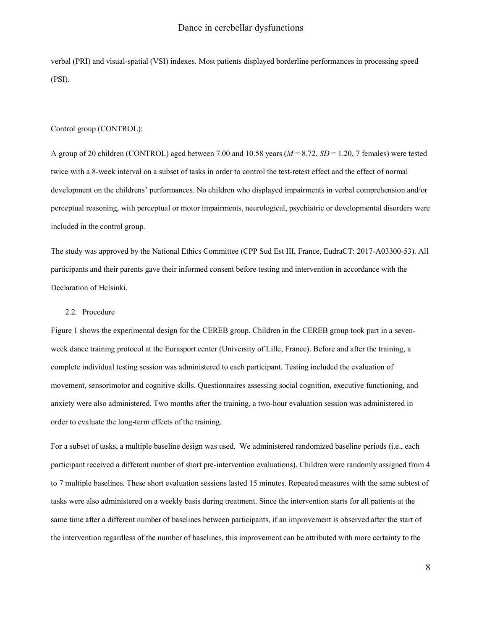verbal (PRI) and visual-spatial (VSI) indexes. Most patients displayed borderline performances in processing speed (PSI).

#### Control group (CONTROL):

A group of 20 children (CONTROL) aged between 7.00 and 10.58 years (*M* = 8.72, *SD* = 1.20, 7 females) were tested twice with a 8-week interval on a subset of tasks in order to control the test-retest effect and the effect of normal development on the childrens' performances. No children who displayed impairments in verbal comprehension and/or perceptual reasoning, with perceptual or motor impairments, neurological, psychiatric or developmental disorders were included in the control group.

The study was approved by the National Ethics Committee (CPP Sud Est III, France, EudraCT: 2017-A03300-53). All participants and their parents gave their informed consent before testing and intervention in accordance with the Declaration of Helsinki.

#### 2.2. Procedure

Figure 1 shows the experimental design for the CEREB group. Children in the CEREB group took part in a sevenweek dance training protocol at the Eurasport center (University of Lille, France). Before and after the training, a complete individual testing session was administered to each participant. Testing included the evaluation of movement, sensorimotor and cognitive skills. Questionnaires assessing social cognition, executive functioning, and anxiety were also administered. Two months after the training, a two-hour evaluation session was administered in order to evaluate the long-term effects of the training.

For a subset of tasks, a multiple baseline design was used. We administered randomized baseline periods (i.e., each participant received a different number of short pre-intervention evaluations). Children were randomly assigned from 4 to 7 multiple baselines. These short evaluation sessions lasted 15 minutes. Repeated measures with the same subtest of tasks were also administered on a weekly basis during treatment. Since the intervention starts for all patients at the same time after a different number of baselines between participants, if an improvement is observed after the start of the intervention regardless of the number of baselines, this improvement can be attributed with more certainty to the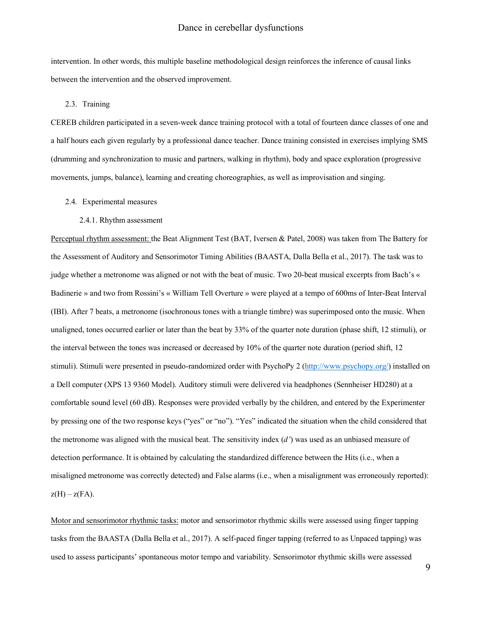intervention. In other words, this multiple baseline methodological design reinforces the inference of causal links between the intervention and the observed improvement.

#### 2.3. Training

CEREB children participated in a seven-week dance training protocol with a total of fourteen dance classes of one and a half hours each given regularly by a professional dance teacher. Dance training consisted in exercises implying SMS (drumming and synchronization to music and partners, walking in rhythm), body and space exploration (progressive movements, jumps, balance), learning and creating choreographies, as well as improvisation and singing.

2.4. Experimental measures

#### 2.4.1. Rhythm assessment

Perceptual rhythm assessment: the Beat Alignment Test (BAT, Iversen & Patel, 2008) was taken from The Battery for the Assessment of Auditory and Sensorimotor Timing Abilities (BAASTA, Dalla Bella et al., 2017). The task was to judge whether a metronome was aligned or not with the beat of music. Two 20-beat musical excerpts from Bach's « Badinerie » and two from Rossini's « William Tell Overture » were played at a tempo of 600ms of Inter-Beat Interval (IBI). After 7 beats, a metronome (isochronous tones with a triangle timbre) was superimposed onto the music. When unaligned, tones occurred earlier or later than the beat by 33% of the quarter note duration (phase shift, 12 stimuli), or the interval between the tones was increased or decreased by 10% of the quarter note duration (period shift, 12 stimuli). Stimuli were presented in pseudo-randomized order with PsychoPy 2 (http://www.psychopy.org/) installed on a Dell computer (XPS 13 9360 Model). Auditory stimuli were delivered via headphones (Sennheiser HD280) at a comfortable sound level (60 dB). Responses were provided verbally by the children, and entered by the Experimenter by pressing one of the two response keys ("yes" or "no"). "Yes" indicated the situation when the child considered that the metronome was aligned with the musical beat. The sensitivity index (*d'*) was used as an unbiased measure of detection performance. It is obtained by calculating the standardized difference between the Hits (i.e., when a misaligned metronome was correctly detected) and False alarms (i.e., when a misalignment was erroneously reported):  $z(H) - z(FA)$ .

Motor and sensorimotor rhythmic tasks: motor and sensorimotor rhythmic skills were assessed using finger tapping tasks from the BAASTA (Dalla Bella et al., 2017). A self-paced finger tapping (referred to as Unpaced tapping) was used to assess participants' spontaneous motor tempo and variability. Sensorimotor rhythmic skills were assessed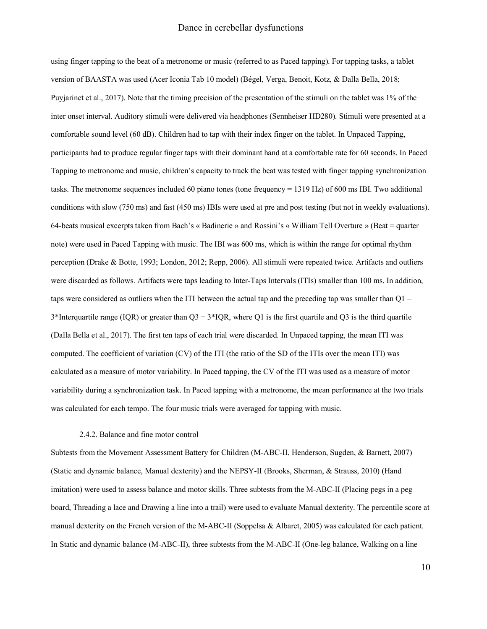using finger tapping to the beat of a metronome or music (referred to as Paced tapping). For tapping tasks, a tablet version of BAASTA was used (Acer Iconia Tab 10 model) (Bégel, Verga, Benoit, Kotz, & Dalla Bella, 2018; Puyjarinet et al., 2017). Note that the timing precision of the presentation of the stimuli on the tablet was 1% of the inter onset interval. Auditory stimuli were delivered via headphones (Sennheiser HD280). Stimuli were presented at a comfortable sound level (60 dB). Children had to tap with their index finger on the tablet. In Unpaced Tapping, participants had to produce regular finger taps with their dominant hand at a comfortable rate for 60 seconds. In Paced Tapping to metronome and music, children's capacity to track the beat was tested with finger tapping synchronization tasks. The metronome sequences included 60 piano tones (tone frequency = 1319 Hz) of 600 ms IBI. Two additional conditions with slow (750 ms) and fast (450 ms) IBIs were used at pre and post testing (but not in weekly evaluations). 64-beats musical excerpts taken from Bach's « Badinerie » and Rossini's « William Tell Overture » (Beat = quarter note) were used in Paced Tapping with music. The IBI was 600 ms, which is within the range for optimal rhythm perception (Drake & Botte, 1993; London, 2012; Repp, 2006). All stimuli were repeated twice. Artifacts and outliers were discarded as follows. Artifacts were taps leading to Inter-Taps Intervals (ITIs) smaller than 100 ms. In addition, taps were considered as outliers when the ITI between the actual tap and the preceding tap was smaller than Q1 –  $3*$ Interquartile range (IQR) or greater than  $Q3 + 3*IQR$ , where Q1 is the first quartile and Q3 is the third quartile (Dalla Bella et al., 2017). The first ten taps of each trial were discarded. In Unpaced tapping, the mean ITI was computed. The coefficient of variation (CV) of the ITI (the ratio of the SD of the ITIs over the mean ITI) was calculated as a measure of motor variability. In Paced tapping, the CV of the ITI was used as a measure of motor variability during a synchronization task. In Paced tapping with a metronome, the mean performance at the two trials was calculated for each tempo. The four music trials were averaged for tapping with music.

#### 2.4.2. Balance and fine motor control

Subtests from the Movement Assessment Battery for Children (M-ABC-II, Henderson, Sugden, & Barnett, 2007) (Static and dynamic balance, Manual dexterity) and the NEPSY-II (Brooks, Sherman, & Strauss, 2010) (Hand imitation) were used to assess balance and motor skills. Three subtests from the M-ABC-II (Placing pegs in a peg board, Threading a lace and Drawing a line into a trail) were used to evaluate Manual dexterity. The percentile score at manual dexterity on the French version of the M-ABC-II (Soppelsa & Albaret, 2005) was calculated for each patient. In Static and dynamic balance (M-ABC-II), three subtests from the M-ABC-II (One-leg balance, Walking on a line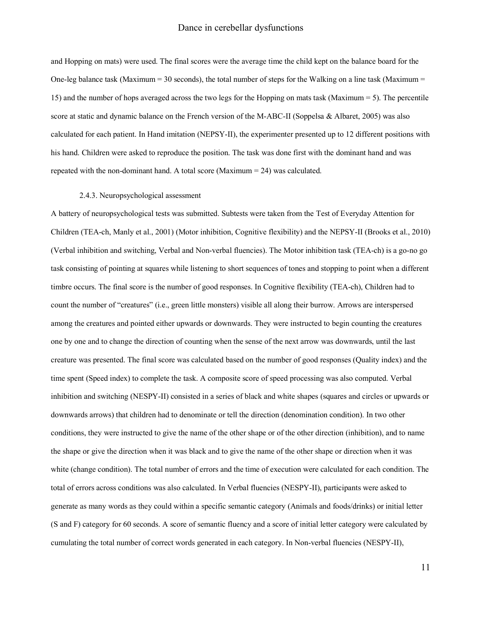and Hopping on mats) were used. The final scores were the average time the child kept on the balance board for the One-leg balance task (Maximum = 30 seconds), the total number of steps for the Walking on a line task (Maximum = 15) and the number of hops averaged across the two legs for the Hopping on mats task (Maximum = 5). The percentile score at static and dynamic balance on the French version of the M-ABC-II (Soppelsa & Albaret, 2005) was also calculated for each patient. In Hand imitation (NEPSY-II), the experimenter presented up to 12 different positions with his hand. Children were asked to reproduce the position. The task was done first with the dominant hand and was repeated with the non-dominant hand. A total score (Maximum = 24) was calculated.

#### 2.4.3. Neuropsychological assessment

A battery of neuropsychological tests was submitted. Subtests were taken from the Test of Everyday Attention for Children (TEA-ch, Manly et al., 2001) (Motor inhibition, Cognitive flexibility) and the NEPSY-II (Brooks et al., 2010) (Verbal inhibition and switching, Verbal and Non-verbal fluencies). The Motor inhibition task (TEA-ch) is a go-no go task consisting of pointing at squares while listening to short sequences of tones and stopping to point when a different timbre occurs. The final score is the number of good responses. In Cognitive flexibility (TEA-ch), Children had to count the number of "creatures" (i.e., green little monsters) visible all along their burrow. Arrows are interspersed among the creatures and pointed either upwards or downwards. They were instructed to begin counting the creatures one by one and to change the direction of counting when the sense of the next arrow was downwards, until the last creature was presented. The final score was calculated based on the number of good responses (Quality index) and the time spent (Speed index) to complete the task. A composite score of speed processing was also computed. Verbal inhibition and switching (NESPY-II) consisted in a series of black and white shapes (squares and circles or upwards or downwards arrows) that children had to denominate or tell the direction (denomination condition). In two other conditions, they were instructed to give the name of the other shape or of the other direction (inhibition), and to name the shape or give the direction when it was black and to give the name of the other shape or direction when it was white (change condition). The total number of errors and the time of execution were calculated for each condition. The total of errors across conditions was also calculated. In Verbal fluencies (NESPY-II), participants were asked to generate as many words as they could within a specific semantic category (Animals and foods/drinks) or initial letter (S and F) category for 60 seconds. A score of semantic fluency and a score of initial letter category were calculated by cumulating the total number of correct words generated in each category. In Non-verbal fluencies (NESPY-II),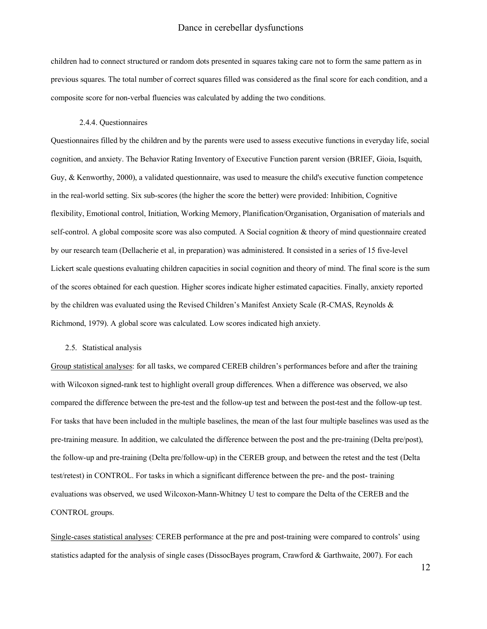children had to connect structured or random dots presented in squares taking care not to form the same pattern as in previous squares. The total number of correct squares filled was considered as the final score for each condition, and a composite score for non-verbal fluencies was calculated by adding the two conditions.

#### 2.4.4. Questionnaires

Questionnaires filled by the children and by the parents were used to assess executive functions in everyday life, social cognition, and anxiety. The Behavior Rating Inventory of Executive Function parent version (BRIEF, Gioia, Isquith, Guy, & Kenworthy, 2000), a validated questionnaire, was used to measure the child's executive function competence in the real-world setting. Six sub-scores (the higher the score the better) were provided: Inhibition, Cognitive flexibility, Emotional control, Initiation, Working Memory, Planification/Organisation, Organisation of materials and self-control. A global composite score was also computed. A Social cognition & theory of mind questionnaire created by our research team (Dellacherie et al, in preparation) was administered. It consisted in a series of 15 five-level Lickert scale questions evaluating children capacities in social cognition and theory of mind. The final score is the sum of the scores obtained for each question. Higher scores indicate higher estimated capacities. Finally, anxiety reported by the children was evaluated using the Revised Children's Manifest Anxiety Scale (R-CMAS, Reynolds & Richmond, 1979). A global score was calculated. Low scores indicated high anxiety.

#### 2.5. Statistical analysis

Group statistical analyses: for all tasks, we compared CEREB children's performances before and after the training with Wilcoxon signed-rank test to highlight overall group differences. When a difference was observed, we also compared the difference between the pre-test and the follow-up test and between the post-test and the follow-up test. For tasks that have been included in the multiple baselines, the mean of the last four multiple baselines was used as the pre-training measure. In addition, we calculated the difference between the post and the pre-training (Delta pre/post), the follow-up and pre-training (Delta pre/follow-up) in the CEREB group, and between the retest and the test (Delta test/retest) in CONTROL. For tasks in which a significant difference between the pre- and the post- training evaluations was observed, we used Wilcoxon-Mann-Whitney U test to compare the Delta of the CEREB and the CONTROL groups.

Single-cases statistical analyses: CEREB performance at the pre and post-training were compared to controls' using statistics adapted for the analysis of single cases (DissocBayes program, Crawford & Garthwaite, 2007). For each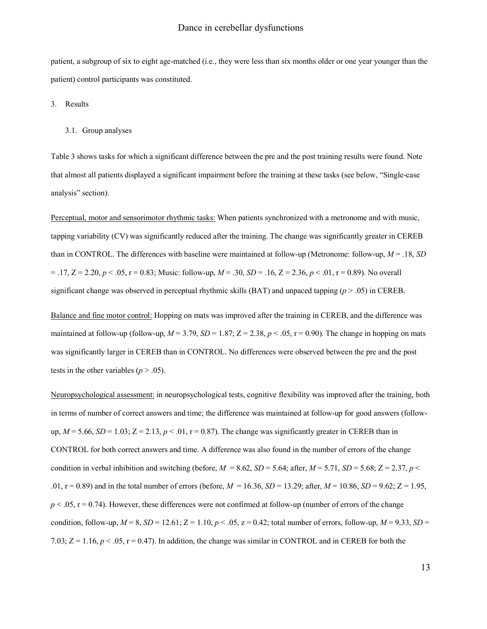patient, a subgroup of six to eight age-matched (i.e., they were less than six months older or one year younger than the patient) control participants was constituted.

3. Results

#### 3.1. Group analyses

Table 3 shows tasks for which a significant difference between the pre and the post training results were found. Note that almost all patients displayed a significant impairment before the training at these tasks (see below, "Single-case analysis" section).

Perceptual, motor and sensorimotor rhythmic tasks: When patients synchronized with a metronome and with music, tapping variability (CV) was significantly reduced after the training. The change was significantly greater in CEREB than in CONTROL. The differences with baseline were maintained at follow-up (Metronome: follow-up, *M* = .18, *SD* = .17, Z = 2.20, *p* < .05, r = 0.83; Music: follow-up, *M* = .30, *SD* = .16, Z = 2.36, *p* < .01, r = 0.89). No overall significant change was observed in perceptual rhythmic skills (BAT) and unpaced tapping  $(p > .05)$  in CEREB.

Balance and fine motor control: Hopping on mats was improved after the training in CEREB, and the difference was maintained at follow-up (follow-up,  $M = 3.79$ ,  $SD = 1.87$ ;  $Z = 2.38$ ,  $p < .05$ ,  $r = 0.90$ ). The change in hopping on mats was significantly larger in CEREB than in CONTROL. No differences were observed between the pre and the post tests in the other variables ( $p > .05$ ).

Neuropsychological assessment: in neuropsychological tests, cognitive flexibility was improved after the training, both in terms of number of correct answers and time; the difference was maintained at follow-up for good answers (followup,  $M = 5.66$ ,  $SD = 1.03$ ;  $Z = 2.13$ ,  $p < 0.01$ ,  $r = 0.87$ ). The change was significantly greater in CEREB than in CONTROL for both correct answers and time. A difference was also found in the number of errors of the change condition in verbal inhibition and switching (before,  $M = 8.62$ ,  $SD = 5.64$ ; after,  $M = 5.71$ ,  $SD = 5.68$ ;  $Z = 2.37$ ,  $p <$ .01, r = 0.89) and in the total number of errors (before, *M* = 16.36, *SD* = 13.29; after, *M* = 10.86, *SD* = 9.62; Z = 1.95,  $p < .05$ ,  $r = 0.74$ ). However, these differences were not confirmed at follow-up (number of errors of the change condition, follow-up,  $M = 8$ ,  $SD = 12.61$ ;  $Z = 1.10$ ,  $p < .05$ ,  $z = 0.42$ ; total number of errors, follow-up,  $M = 9.33$ ,  $SD =$ 7.03;  $Z = 1.16$ ,  $p < .05$ ,  $r = 0.47$ ). In addition, the change was similar in CONTROL and in CEREB for both the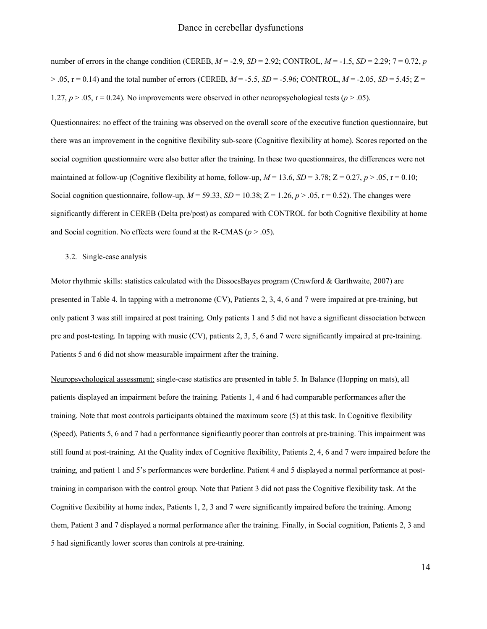number of errors in the change condition (CEREB, *M* = -2.9, *SD* = 2.92; CONTROL, *M* = -1.5, *SD* = 2.29; 7 = 0.72, *p* > .05, r = 0.14) and the total number of errors (CEREB, *M* = -5.5, *SD* = -5.96; CONTROL, *M* = -2.05, *SD* = 5.45; Z = 1.27,  $p > 0.05$ ,  $r = 0.24$ ). No improvements were observed in other neuropsychological tests ( $p > 0.05$ ).

Questionnaires: no effect of the training was observed on the overall score of the executive function questionnaire, but there was an improvement in the cognitive flexibility sub-score (Cognitive flexibility at home). Scores reported on the social cognition questionnaire were also better after the training. In these two questionnaires, the differences were not maintained at follow-up (Cognitive flexibility at home, follow-up,  $M = 13.6$ ,  $SD = 3.78$ ;  $Z = 0.27$ ,  $p > .05$ ,  $r = 0.10$ ; Social cognition questionnaire, follow-up,  $M = 59.33$ ,  $SD = 10.38$ ;  $Z = 1.26$ ,  $p > .05$ ,  $r = 0.52$ ). The changes were significantly different in CEREB (Delta pre/post) as compared with CONTROL for both Cognitive flexibility at home and Social cognition. No effects were found at the R-CMAS ( $p > .05$ ).

#### 3.2. Single-case analysis

Motor rhythmic skills: statistics calculated with the DissocsBayes program (Crawford & Garthwaite, 2007) are presented in Table 4. In tapping with a metronome (CV), Patients 2, 3, 4, 6 and 7 were impaired at pre-training, but only patient 3 was still impaired at post training. Only patients 1 and 5 did not have a significant dissociation between pre and post-testing. In tapping with music (CV), patients 2, 3, 5, 6 and 7 were significantly impaired at pre-training. Patients 5 and 6 did not show measurable impairment after the training.

Neuropsychological assessment: single-case statistics are presented in table 5. In Balance (Hopping on mats), all patients displayed an impairment before the training. Patients 1, 4 and 6 had comparable performances after the training. Note that most controls participants obtained the maximum score (5) at this task. In Cognitive flexibility (Speed), Patients 5, 6 and 7 had a performance significantly poorer than controls at pre-training. This impairment was still found at post-training. At the Quality index of Cognitive flexibility, Patients 2, 4, 6 and 7 were impaired before the training, and patient 1 and 5's performances were borderline. Patient 4 and 5 displayed a normal performance at posttraining in comparison with the control group. Note that Patient 3 did not pass the Cognitive flexibility task. At the Cognitive flexibility at home index, Patients 1, 2, 3 and 7 were significantly impaired before the training. Among them, Patient 3 and 7 displayed a normal performance after the training. Finally, in Social cognition, Patients 2, 3 and 5 had significantly lower scores than controls at pre-training.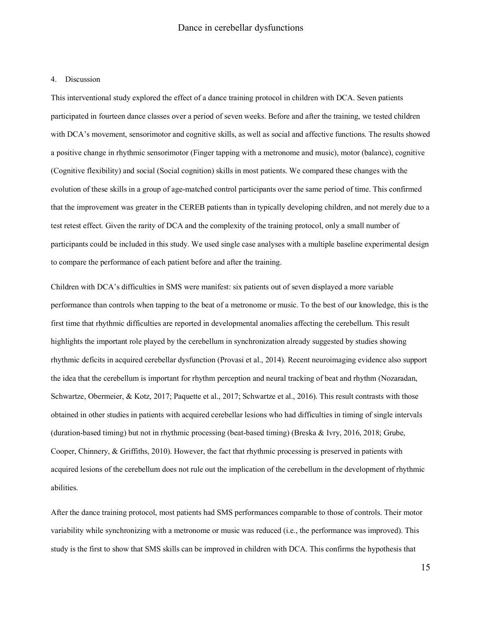#### 4. Discussion

This interventional study explored the effect of a dance training protocol in children with DCA. Seven patients participated in fourteen dance classes over a period of seven weeks. Before and after the training, we tested children with DCA's movement, sensorimotor and cognitive skills, as well as social and affective functions. The results showed a positive change in rhythmic sensorimotor (Finger tapping with a metronome and music), motor (balance), cognitive (Cognitive flexibility) and social (Social cognition) skills in most patients. We compared these changes with the evolution of these skills in a group of age-matched control participants over the same period of time. This confirmed that the improvement was greater in the CEREB patients than in typically developing children, and not merely due to a test retest effect. Given the rarity of DCA and the complexity of the training protocol, only a small number of participants could be included in this study. We used single case analyses with a multiple baseline experimental design to compare the performance of each patient before and after the training.

Children with DCA's difficulties in SMS were manifest: six patients out of seven displayed a more variable performance than controls when tapping to the beat of a metronome or music. To the best of our knowledge, this is the first time that rhythmic difficulties are reported in developmental anomalies affecting the cerebellum. This result highlights the important role played by the cerebellum in synchronization already suggested by studies showing rhythmic deficits in acquired cerebellar dysfunction (Provasi et al., 2014). Recent neuroimaging evidence also support the idea that the cerebellum is important for rhythm perception and neural tracking of beat and rhythm (Nozaradan, Schwartze, Obermeier, & Kotz, 2017; Paquette et al., 2017; Schwartze et al., 2016). This result contrasts with those obtained in other studies in patients with acquired cerebellar lesions who had difficulties in timing of single intervals (duration-based timing) but not in rhythmic processing (beat-based timing) (Breska & Ivry, 2016, 2018; Grube, Cooper, Chinnery, & Griffiths, 2010). However, the fact that rhythmic processing is preserved in patients with acquired lesions of the cerebellum does not rule out the implication of the cerebellum in the development of rhythmic abilities.

After the dance training protocol, most patients had SMS performances comparable to those of controls. Their motor variability while synchronizing with a metronome or music was reduced (i.e., the performance was improved). This study is the first to show that SMS skills can be improved in children with DCA. This confirms the hypothesis that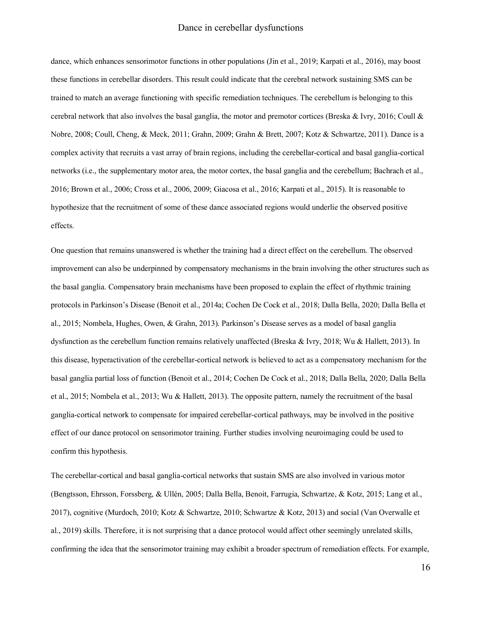dance, which enhances sensorimotor functions in other populations (Jin et al., 2019; Karpati et al., 2016), may boost these functions in cerebellar disorders. This result could indicate that the cerebral network sustaining SMS can be trained to match an average functioning with specific remediation techniques. The cerebellum is belonging to this cerebral network that also involves the basal ganglia, the motor and premotor cortices (Breska & Ivry, 2016; Coull & Nobre, 2008; Coull, Cheng, & Meck, 2011; Grahn, 2009; Grahn & Brett, 2007; Kotz & Schwartze, 2011). Dance is a complex activity that recruits a vast array of brain regions, including the cerebellar-cortical and basal ganglia-cortical networks (i.e., the supplementary motor area, the motor cortex, the basal ganglia and the cerebellum; Bachrach et al., 2016; Brown et al., 2006; Cross et al., 2006, 2009; Giacosa et al., 2016; Karpati et al., 2015). It is reasonable to hypothesize that the recruitment of some of these dance associated regions would underlie the observed positive effects.

One question that remains unanswered is whether the training had a direct effect on the cerebellum. The observed improvement can also be underpinned by compensatory mechanisms in the brain involving the other structures such as the basal ganglia. Compensatory brain mechanisms have been proposed to explain the effect of rhythmic training protocols in Parkinson's Disease (Benoit et al., 2014a; Cochen De Cock et al., 2018; Dalla Bella, 2020; Dalla Bella et al., 2015; Nombela, Hughes, Owen, & Grahn, 2013). Parkinson's Disease serves as a model of basal ganglia dysfunction as the cerebellum function remains relatively unaffected (Breska & Ivry, 2018; Wu & Hallett, 2013). In this disease, hyperactivation of the cerebellar-cortical network is believed to act as a compensatory mechanism for the basal ganglia partial loss of function (Benoit et al., 2014; Cochen De Cock et al., 2018; Dalla Bella, 2020; Dalla Bella et al., 2015; Nombela et al., 2013; Wu & Hallett, 2013). The opposite pattern, namely the recruitment of the basal ganglia-cortical network to compensate for impaired cerebellar-cortical pathways, may be involved in the positive effect of our dance protocol on sensorimotor training. Further studies involving neuroimaging could be used to confirm this hypothesis.

The cerebellar-cortical and basal ganglia-cortical networks that sustain SMS are also involved in various motor (Bengtsson, Ehrsson, Forssberg, & Ullén, 2005; Dalla Bella, Benoit, Farrugia, Schwartze, & Kotz, 2015; Lang et al., 2017), cognitive (Murdoch, 2010; Kotz & Schwartze, 2010; Schwartze & Kotz, 2013) and social (Van Overwalle et al., 2019) skills. Therefore, it is not surprising that a dance protocol would affect other seemingly unrelated skills, confirming the idea that the sensorimotor training may exhibit a broader spectrum of remediation effects. For example,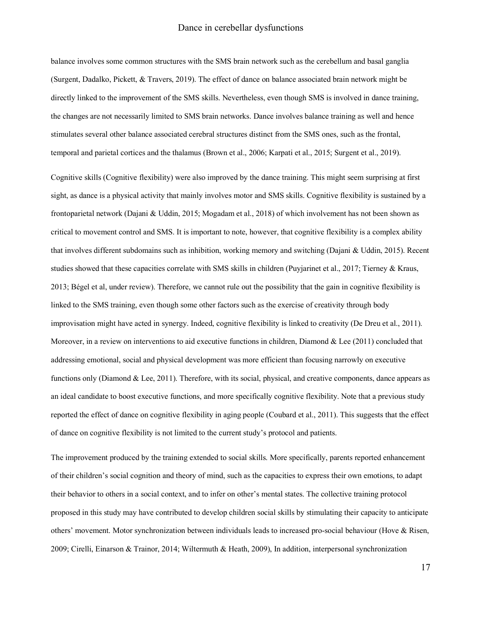balance involves some common structures with the SMS brain network such as the cerebellum and basal ganglia (Surgent, Dadalko, Pickett, & Travers, 2019). The effect of dance on balance associated brain network might be directly linked to the improvement of the SMS skills. Nevertheless, even though SMS is involved in dance training, the changes are not necessarily limited to SMS brain networks. Dance involves balance training as well and hence stimulates several other balance associated cerebral structures distinct from the SMS ones, such as the frontal, temporal and parietal cortices and the thalamus (Brown et al., 2006; Karpati et al., 2015; Surgent et al., 2019).

Cognitive skills (Cognitive flexibility) were also improved by the dance training. This might seem surprising at first sight, as dance is a physical activity that mainly involves motor and SMS skills. Cognitive flexibility is sustained by a frontoparietal network (Dajani & Uddin, 2015; Mogadam et al., 2018) of which involvement has not been shown as critical to movement control and SMS. It is important to note, however, that cognitive flexibility is a complex ability that involves different subdomains such as inhibition, working memory and switching (Dajani & Uddin, 2015). Recent studies showed that these capacities correlate with SMS skills in children (Puyjarinet et al., 2017; Tierney & Kraus, 2013; Bégel et al, under review). Therefore, we cannot rule out the possibility that the gain in cognitive flexibility is linked to the SMS training, even though some other factors such as the exercise of creativity through body improvisation might have acted in synergy. Indeed, cognitive flexibility is linked to creativity (De Dreu et al., 2011). Moreover, in a review on interventions to aid executive functions in children, Diamond & Lee (2011) concluded that addressing emotional, social and physical development was more efficient than focusing narrowly on executive functions only (Diamond & Lee, 2011). Therefore, with its social, physical, and creative components, dance appears as an ideal candidate to boost executive functions, and more specifically cognitive flexibility. Note that a previous study reported the effect of dance on cognitive flexibility in aging people (Coubard et al., 2011). This suggests that the effect of dance on cognitive flexibility is not limited to the current study's protocol and patients.

The improvement produced by the training extended to social skills. More specifically, parents reported enhancement of their children's social cognition and theory of mind, such as the capacities to express their own emotions, to adapt their behavior to others in a social context, and to infer on other's mental states. The collective training protocol proposed in this study may have contributed to develop children social skills by stimulating their capacity to anticipate others' movement. Motor synchronization between individuals leads to increased pro-social behaviour (Hove & Risen, 2009; Cirelli, Einarson & Trainor, 2014; Wiltermuth & Heath, 2009), In addition, interpersonal synchronization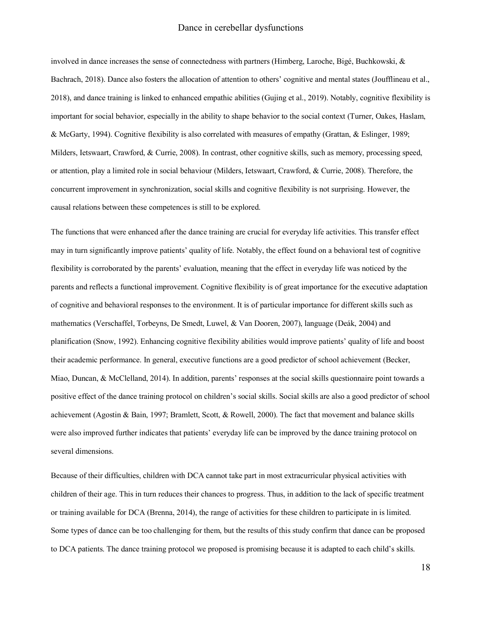involved in dance increases the sense of connectedness with partners (Himberg, Laroche, Bigé, Buchkowski, & Bachrach, 2018). Dance also fosters the allocation of attention to others' cognitive and mental states (Joufflineau et al., 2018), and dance training is linked to enhanced empathic abilities (Gujing et al., 2019). Notably, cognitive flexibility is important for social behavior, especially in the ability to shape behavior to the social context (Turner, Oakes, Haslam, & McGarty, 1994). Cognitive flexibility is also correlated with measures of empathy (Grattan, & Eslinger, 1989; Milders, Ietswaart, Crawford, & Currie, 2008). In contrast, other cognitive skills, such as memory, processing speed, or attention, play a limited role in social behaviour (Milders, Ietswaart, Crawford, & Currie, 2008). Therefore, the concurrent improvement in synchronization, social skills and cognitive flexibility is not surprising. However, the causal relations between these competences is still to be explored.

The functions that were enhanced after the dance training are crucial for everyday life activities. This transfer effect may in turn significantly improve patients' quality of life. Notably, the effect found on a behavioral test of cognitive flexibility is corroborated by the parents' evaluation, meaning that the effect in everyday life was noticed by the parents and reflects a functional improvement. Cognitive flexibility is of great importance for the executive adaptation of cognitive and behavioral responses to the environment. It is of particular importance for different skills such as mathematics (Verschaffel, Torbeyns, De Smedt, Luwel, & Van Dooren, 2007), language (Deák, 2004) and planification (Snow, 1992). Enhancing cognitive flexibility abilities would improve patients' quality of life and boost their academic performance. In general, executive functions are a good predictor of school achievement (Becker, Miao, Duncan, & McClelland, 2014). In addition, parents' responses at the social skills questionnaire point towards a positive effect of the dance training protocol on children's social skills. Social skills are also a good predictor of school achievement (Agostin & Bain, 1997; Bramlett, Scott, & Rowell, 2000). The fact that movement and balance skills were also improved further indicates that patients' everyday life can be improved by the dance training protocol on several dimensions.

Because of their difficulties, children with DCA cannot take part in most extracurricular physical activities with children of their age. This in turn reduces their chances to progress. Thus, in addition to the lack of specific treatment or training available for DCA (Brenna, 2014), the range of activities for these children to participate in is limited. Some types of dance can be too challenging for them, but the results of this study confirm that dance can be proposed to DCA patients. The dance training protocol we proposed is promising because it is adapted to each child's skills.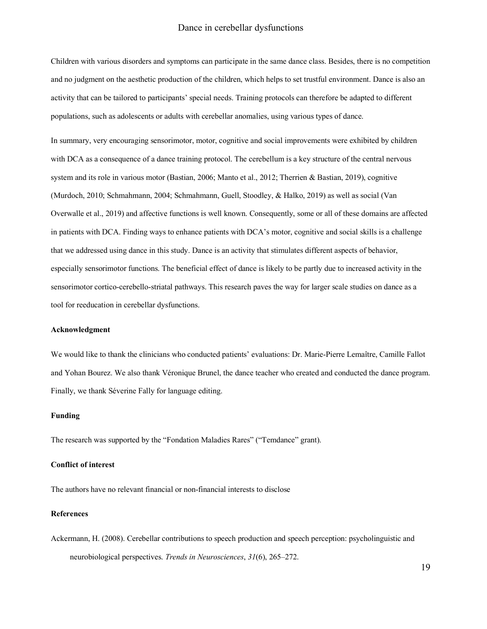Children with various disorders and symptoms can participate in the same dance class. Besides, there is no competition and no judgment on the aesthetic production of the children, which helps to set trustful environment. Dance is also an activity that can be tailored to participants' special needs. Training protocols can therefore be adapted to different populations, such as adolescents or adults with cerebellar anomalies, using various types of dance.

In summary, very encouraging sensorimotor, motor, cognitive and social improvements were exhibited by children with DCA as a consequence of a dance training protocol. The cerebellum is a key structure of the central nervous system and its role in various motor (Bastian, 2006; Manto et al., 2012; Therrien & Bastian, 2019), cognitive (Murdoch, 2010; Schmahmann, 2004; Schmahmann, Guell, Stoodley, & Halko, 2019) as well as social (Van Overwalle et al., 2019) and affective functions is well known. Consequently, some or all of these domains are affected in patients with DCA. Finding ways to enhance patients with DCA's motor, cognitive and social skills is a challenge that we addressed using dance in this study. Dance is an activity that stimulates different aspects of behavior, especially sensorimotor functions. The beneficial effect of dance is likely to be partly due to increased activity in the sensorimotor cortico-cerebello-striatal pathways. This research paves the way for larger scale studies on dance as a tool for reeducation in cerebellar dysfunctions.

#### **Acknowledgment**

We would like to thank the clinicians who conducted patients' evaluations: Dr. Marie-Pierre Lemaître, Camille Fallot and Yohan Bourez. We also thank Véronique Brunel, the dance teacher who created and conducted the dance program. Finally, we thank Séverine Fally for language editing.

#### **Funding**

The research was supported by the "Fondation Maladies Rares" ("Temdance" grant).

#### **Conflict of interest**

The authors have no relevant financial or non-financial interests to disclose

#### **References**

Ackermann, H. (2008). Cerebellar contributions to speech production and speech perception: psycholinguistic and neurobiological perspectives. *Trends in Neurosciences*, *31*(6), 265–272.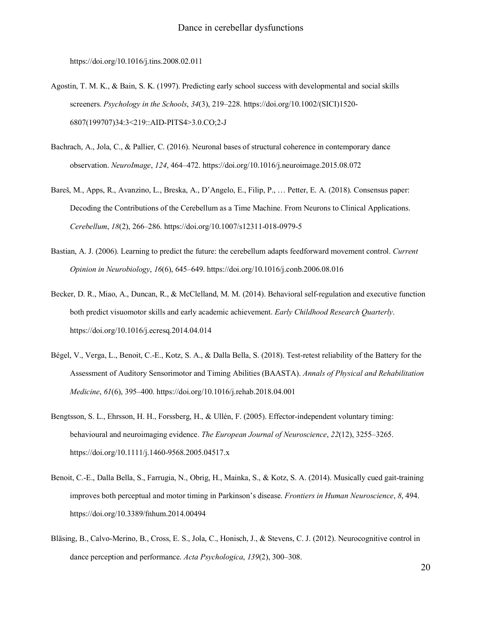https://doi.org/10.1016/j.tins.2008.02.011

- Agostin, T. M. K., & Bain, S. K. (1997). Predicting early school success with developmental and social skills screeners. *Psychology in the Schools*, *34*(3), 219–228. https://doi.org/10.1002/(SICI)1520- 6807(199707)34:3<219::AID-PITS4>3.0.CO;2-J
- Bachrach, A., Jola, C., & Pallier, C. (2016). Neuronal bases of structural coherence in contemporary dance observation. *NeuroImage*, *124*, 464–472. https://doi.org/10.1016/j.neuroimage.2015.08.072
- Bareš, M., Apps, R., Avanzino, L., Breska, A., D'Angelo, E., Filip, P., … Petter, E. A. (2018). Consensus paper: Decoding the Contributions of the Cerebellum as a Time Machine. From Neurons to Clinical Applications. *Cerebellum*, *18*(2), 266–286. https://doi.org/10.1007/s12311-018-0979-5
- Bastian, A. J. (2006). Learning to predict the future: the cerebellum adapts feedforward movement control. *Current Opinion in Neurobiology*, *16*(6), 645–649. https://doi.org/10.1016/j.conb.2006.08.016
- Becker, D. R., Miao, A., Duncan, R., & McClelland, M. M. (2014). Behavioral self-regulation and executive function both predict visuomotor skills and early academic achievement. *Early Childhood Research Quarterly*. https://doi.org/10.1016/j.ecresq.2014.04.014
- Bégel, V., Verga, L., Benoit, C.-E., Kotz, S. A., & Dalla Bella, S. (2018). Test-retest reliability of the Battery for the Assessment of Auditory Sensorimotor and Timing Abilities (BAASTA). *Annals of Physical and Rehabilitation Medicine*, *61*(6), 395–400. https://doi.org/10.1016/j.rehab.2018.04.001
- Bengtsson, S. L., Ehrsson, H. H., Forssberg, H., & Ullén, F. (2005). Effector-independent voluntary timing: behavioural and neuroimaging evidence. *The European Journal of Neuroscience*, *22*(12), 3255–3265. https://doi.org/10.1111/j.1460-9568.2005.04517.x
- Benoit, C.-E., Dalla Bella, S., Farrugia, N., Obrig, H., Mainka, S., & Kotz, S. A. (2014). Musically cued gait-training improves both perceptual and motor timing in Parkinson's disease. *Frontiers in Human Neuroscience*, *8*, 494. https://doi.org/10.3389/fnhum.2014.00494
- Bläsing, B., Calvo-Merino, B., Cross, E. S., Jola, C., Honisch, J., & Stevens, C. J. (2012). Neurocognitive control in dance perception and performance. *Acta Psychologica*, *139*(2), 300–308.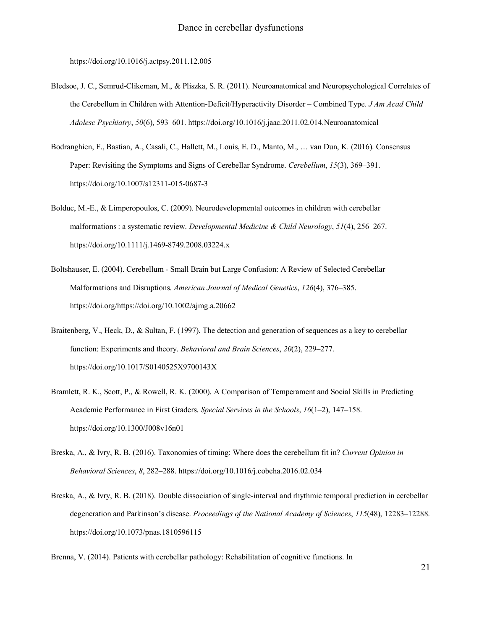https://doi.org/10.1016/j.actpsy.2011.12.005

- Bledsoe, J. C., Semrud-Clikeman, M., & Pliszka, S. R. (2011). Neuroanatomical and Neuropsychological Correlates of the Cerebellum in Children with Attention-Deficit/Hyperactivity Disorder – Combined Type. *J Am Acad Child Adolesc Psychiatry*, *50*(6), 593–601. https://doi.org/10.1016/j.jaac.2011.02.014.Neuroanatomical
- Bodranghien, F., Bastian, A., Casali, C., Hallett, M., Louis, E. D., Manto, M., … van Dun, K. (2016). Consensus Paper: Revisiting the Symptoms and Signs of Cerebellar Syndrome. *Cerebellum*, *15*(3), 369–391. https://doi.org/10.1007/s12311-015-0687-3
- Bolduc, M.-E., & Limperopoulos, C. (2009). Neurodevelopmental outcomes in children with cerebellar malformations: a systematic review. *Developmental Medicine & Child Neurology*, *51*(4), 256–267. https://doi.org/10.1111/j.1469-8749.2008.03224.x
- Boltshauser, E. (2004). Cerebellum Small Brain but Large Confusion: A Review of Selected Cerebellar Malformations and Disruptions. *American Journal of Medical Genetics*, *126*(4), 376–385. https://doi.org/https://doi.org/10.1002/ajmg.a.20662
- Braitenberg, V., Heck, D., & Sultan, F. (1997). The detection and generation of sequences as a key to cerebellar function: Experiments and theory. *Behavioral and Brain Sciences*, *20*(2), 229–277. https://doi.org/10.1017/S0140525X9700143X
- Bramlett, R. K., Scott, P., & Rowell, R. K. (2000). A Comparison of Temperament and Social Skills in Predicting Academic Performance in First Graders. *Special Services in the Schools*, *16*(1–2), 147–158. https://doi.org/10.1300/J008v16n01
- Breska, A., & Ivry, R. B. (2016). Taxonomies of timing: Where does the cerebellum fit in? *Current Opinion in Behavioral Sciences*, *8*, 282–288. https://doi.org/10.1016/j.cobeha.2016.02.034
- Breska, A., & Ivry, R. B. (2018). Double dissociation of single-interval and rhythmic temporal prediction in cerebellar degeneration and Parkinson's disease. *Proceedings of the National Academy of Sciences*, *115*(48), 12283–12288. https://doi.org/10.1073/pnas.1810596115

Brenna, V. (2014). Patients with cerebellar pathology: Rehabilitation of cognitive functions. In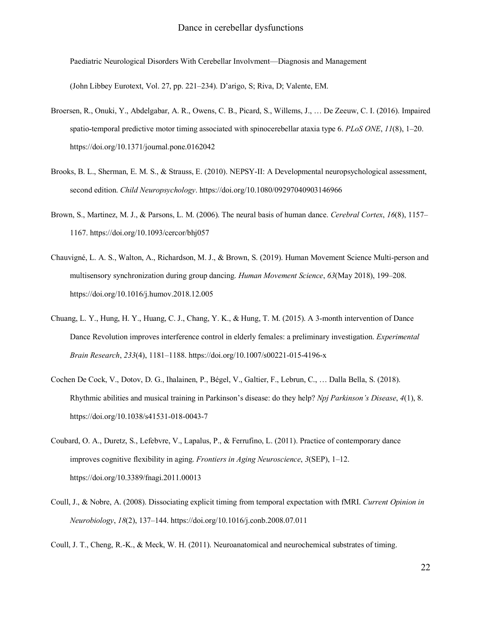Paediatric Neurological Disorders With Cerebellar Involvment—Diagnosis and Management

(John Libbey Eurotext, Vol. 27, pp. 221–234). D'arigo, S; Riva, D; Valente, EM.

- Broersen, R., Onuki, Y., Abdelgabar, A. R., Owens, C. B., Picard, S., Willems, J., … De Zeeuw, C. I. (2016). Impaired spatio-temporal predictive motor timing associated with spinocerebellar ataxia type 6. *PLoS ONE*, *11*(8), 1–20. https://doi.org/10.1371/journal.pone.0162042
- Brooks, B. L., Sherman, E. M. S., & Strauss, E. (2010). NEPSY-II: A Developmental neuropsychological assessment, second edition. *Child Neuropsychology*. https://doi.org/10.1080/09297040903146966
- Brown, S., Martinez, M. J., & Parsons, L. M. (2006). The neural basis of human dance. *Cerebral Cortex*, *16*(8), 1157– 1167. https://doi.org/10.1093/cercor/bhj057
- Chauvigné, L. A. S., Walton, A., Richardson, M. J., & Brown, S. (2019). Human Movement Science Multi-person and multisensory synchronization during group dancing. *Human Movement Science*, *63*(May 2018), 199–208. https://doi.org/10.1016/j.humov.2018.12.005
- Chuang, L. Y., Hung, H. Y., Huang, C. J., Chang, Y. K., & Hung, T. M. (2015). A 3-month intervention of Dance Dance Revolution improves interference control in elderly females: a preliminary investigation. *Experimental Brain Research*, *233*(4), 1181–1188. https://doi.org/10.1007/s00221-015-4196-x
- Cochen De Cock, V., Dotov, D. G., Ihalainen, P., Bégel, V., Galtier, F., Lebrun, C., … Dalla Bella, S. (2018). Rhythmic abilities and musical training in Parkinson's disease: do they help? *Npj Parkinson's Disease*, *4*(1), 8. https://doi.org/10.1038/s41531-018-0043-7
- Coubard, O. A., Duretz, S., Lefebvre, V., Lapalus, P., & Ferrufino, L. (2011). Practice of contemporary dance improves cognitive flexibility in aging. *Frontiers in Aging Neuroscience*, *3*(SEP), 1–12. https://doi.org/10.3389/fnagi.2011.00013
- Coull, J., & Nobre, A. (2008). Dissociating explicit timing from temporal expectation with fMRI. *Current Opinion in Neurobiology*, *18*(2), 137–144. https://doi.org/10.1016/j.conb.2008.07.011

Coull, J. T., Cheng, R.-K., & Meck, W. H. (2011). Neuroanatomical and neurochemical substrates of timing.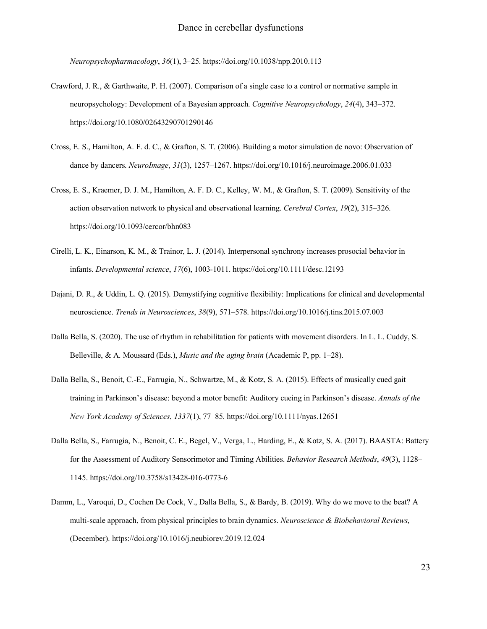*Neuropsychopharmacology*, *36*(1), 3–25. https://doi.org/10.1038/npp.2010.113

- Crawford, J. R., & Garthwaite, P. H. (2007). Comparison of a single case to a control or normative sample in neuropsychology: Development of a Bayesian approach. *Cognitive Neuropsychology*, *24*(4), 343–372. https://doi.org/10.1080/02643290701290146
- Cross, E. S., Hamilton, A. F. d. C., & Grafton, S. T. (2006). Building a motor simulation de novo: Observation of dance by dancers. *NeuroImage*, *31*(3), 1257–1267. https://doi.org/10.1016/j.neuroimage.2006.01.033
- Cross, E. S., Kraemer, D. J. M., Hamilton, A. F. D. C., Kelley, W. M., & Grafton, S. T. (2009). Sensitivity of the action observation network to physical and observational learning. *Cerebral Cortex*, *19*(2), 315–326. https://doi.org/10.1093/cercor/bhn083
- Cirelli, L. K., Einarson, K. M., & Trainor, L. J. (2014). Interpersonal synchrony increases prosocial behavior in infants. *Developmental science*, *17*(6), 1003-1011. https://doi.org/10.1111/desc.12193
- Dajani, D. R., & Uddin, L. Q. (2015). Demystifying cognitive flexibility: Implications for clinical and developmental neuroscience. *Trends in Neurosciences*, *38*(9), 571–578. https://doi.org/10.1016/j.tins.2015.07.003
- Dalla Bella, S. (2020). The use of rhythm in rehabilitation for patients with movement disorders. In L. L. Cuddy, S. Belleville, & A. Moussard (Eds.), *Music and the aging brain* (Academic P, pp. 1–28).
- Dalla Bella, S., Benoit, C.-E., Farrugia, N., Schwartze, M., & Kotz, S. A. (2015). Effects of musically cued gait training in Parkinson's disease: beyond a motor benefit: Auditory cueing in Parkinson's disease. *Annals of the New York Academy of Sciences*, *1337*(1), 77–85. https://doi.org/10.1111/nyas.12651
- Dalla Bella, S., Farrugia, N., Benoit, C. E., Begel, V., Verga, L., Harding, E., & Kotz, S. A. (2017). BAASTA: Battery for the Assessment of Auditory Sensorimotor and Timing Abilities. *Behavior Research Methods*, *49*(3), 1128– 1145. https://doi.org/10.3758/s13428-016-0773-6
- Damm, L., Varoqui, D., Cochen De Cock, V., Dalla Bella, S., & Bardy, B. (2019). Why do we move to the beat? A multi-scale approach, from physical principles to brain dynamics. *Neuroscience & Biobehavioral Reviews*, (December). https://doi.org/10.1016/j.neubiorev.2019.12.024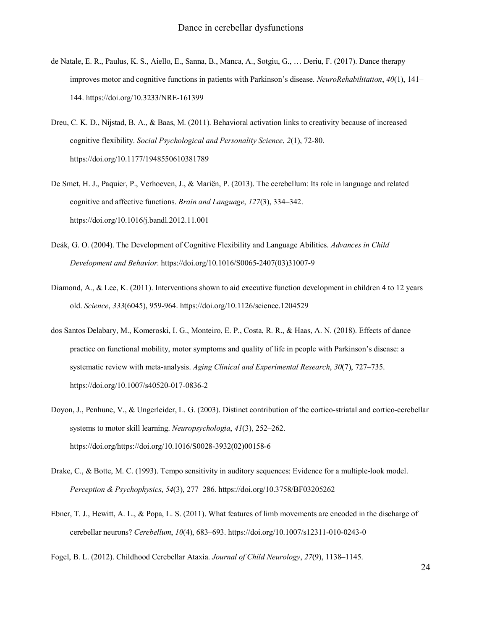- de Natale, E. R., Paulus, K. S., Aiello, E., Sanna, B., Manca, A., Sotgiu, G., … Deriu, F. (2017). Dance therapy improves motor and cognitive functions in patients with Parkinson's disease. *NeuroRehabilitation*, *40*(1), 141– 144. https://doi.org/10.3233/NRE-161399
- Dreu, C. K. D., Nijstad, B. A., & Baas, M. (2011). Behavioral activation links to creativity because of increased cognitive flexibility. *Social Psychological and Personality Science*, *2*(1), 72-80. https://doi.org/10.1177/1948550610381789
- De Smet, H. J., Paquier, P., Verhoeven, J., & Mariën, P. (2013). The cerebellum: Its role in language and related cognitive and affective functions. *Brain and Language*, *127*(3), 334–342. https://doi.org/10.1016/j.bandl.2012.11.001
- Deák, G. O. (2004). The Development of Cognitive Flexibility and Language Abilities. *Advances in Child Development and Behavior*. https://doi.org/10.1016/S0065-2407(03)31007-9
- Diamond, A., & Lee, K. (2011). Interventions shown to aid executive function development in children 4 to 12 years old. *Science*, *333*(6045), 959-964. https://doi.org/10.1126/science.1204529
- dos Santos Delabary, M., Komeroski, I. G., Monteiro, E. P., Costa, R. R., & Haas, A. N. (2018). Effects of dance practice on functional mobility, motor symptoms and quality of life in people with Parkinson's disease: a systematic review with meta-analysis. *Aging Clinical and Experimental Research*, *30*(7), 727–735. https://doi.org/10.1007/s40520-017-0836-2
- Doyon, J., Penhune, V., & Ungerleider, L. G. (2003). Distinct contribution of the cortico-striatal and cortico-cerebellar systems to motor skill learning. *Neuropsychologia*, *41*(3), 252–262. https://doi.org/https://doi.org/10.1016/S0028-3932(02)00158-6
- Drake, C., & Botte, M. C. (1993). Tempo sensitivity in auditory sequences: Evidence for a multiple-look model. *Perception & Psychophysics*, *54*(3), 277–286. https://doi.org/10.3758/BF03205262
- Ebner, T. J., Hewitt, A. L., & Popa, L. S. (2011). What features of limb movements are encoded in the discharge of cerebellar neurons? *Cerebellum*, *10*(4), 683–693. https://doi.org/10.1007/s12311-010-0243-0

Fogel, B. L. (2012). Childhood Cerebellar Ataxia. *Journal of Child Neurology*, *27*(9), 1138–1145.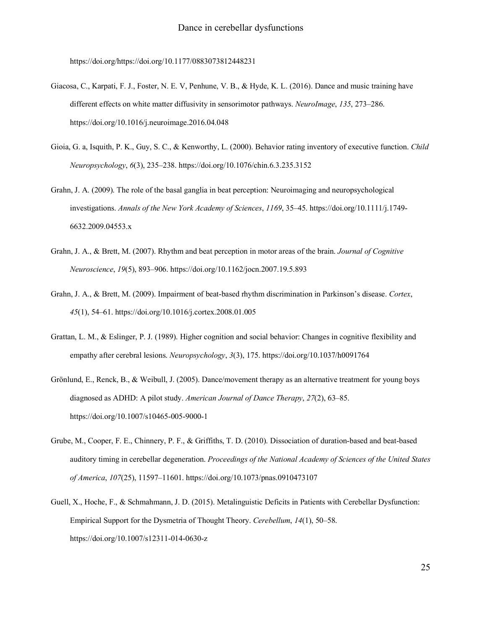https://doi.org/https://doi.org/10.1177/0883073812448231

- Giacosa, C., Karpati, F. J., Foster, N. E. V, Penhune, V. B., & Hyde, K. L. (2016). Dance and music training have different effects on white matter diffusivity in sensorimotor pathways. *NeuroImage*, *135*, 273–286. https://doi.org/10.1016/j.neuroimage.2016.04.048
- Gioia, G. a, Isquith, P. K., Guy, S. C., & Kenworthy, L. (2000). Behavior rating inventory of executive function. *Child Neuropsychology*, *6*(3), 235–238. https://doi.org/10.1076/chin.6.3.235.3152
- Grahn, J. A. (2009). The role of the basal ganglia in beat perception: Neuroimaging and neuropsychological investigations. *Annals of the New York Academy of Sciences*, *1169*, 35–45. https://doi.org/10.1111/j.1749- 6632.2009.04553.x
- Grahn, J. A., & Brett, M. (2007). Rhythm and beat perception in motor areas of the brain. *Journal of Cognitive Neuroscience*, *19*(5), 893–906. https://doi.org/10.1162/jocn.2007.19.5.893
- Grahn, J. A., & Brett, M. (2009). Impairment of beat-based rhythm discrimination in Parkinson's disease. *Cortex*, *45*(1), 54–61. https://doi.org/10.1016/j.cortex.2008.01.005
- Grattan, L. M., & Eslinger, P. J. (1989). Higher cognition and social behavior: Changes in cognitive flexibility and empathy after cerebral lesions. *Neuropsychology*, *3*(3), 175. https://doi.org/10.1037/h0091764
- Grönlund, E., Renck, B., & Weibull, J. (2005). Dance/movement therapy as an alternative treatment for young boys diagnosed as ADHD: A pilot study. *American Journal of Dance Therapy*, *27*(2), 63–85. https://doi.org/10.1007/s10465-005-9000-1
- Grube, M., Cooper, F. E., Chinnery, P. F., & Griffiths, T. D. (2010). Dissociation of duration-based and beat-based auditory timing in cerebellar degeneration. *Proceedings of the National Academy of Sciences of the United States of America*, *107*(25), 11597–11601. https://doi.org/10.1073/pnas.0910473107
- Guell, X., Hoche, F., & Schmahmann, J. D. (2015). Metalinguistic Deficits in Patients with Cerebellar Dysfunction: Empirical Support for the Dysmetria of Thought Theory. *Cerebellum*, *14*(1), 50–58. https://doi.org/10.1007/s12311-014-0630-z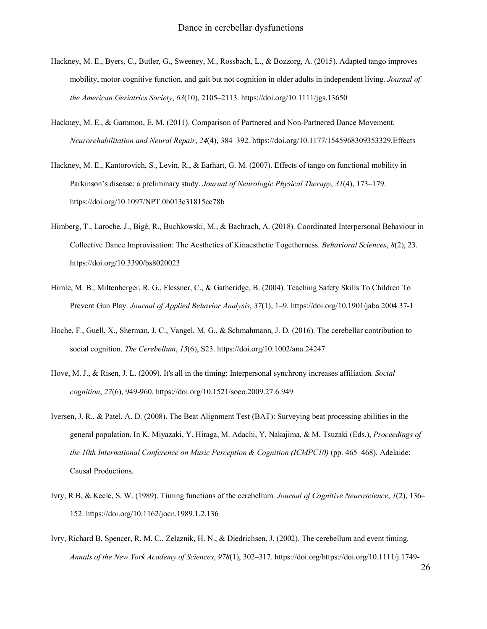- Hackney, M. E., Byers, C., Butler, G., Sweeney, M., Rossbach, L., & Bozzorg, A. (2015). Adapted tango improves mobility, motor-cognitive function, and gait but not cognition in older adults in independent living. *Journal of the American Geriatrics Society*, *63*(10), 2105–2113. https://doi.org/10.1111/jgs.13650
- Hackney, M. E., & Gammon, E. M. (2011). Comparison of Partnered and Non-Partnered Dance Movement. *Neurorehabilitation and Neural Repair*, *24*(4), 384–392. https://doi.org/10.1177/1545968309353329.Effects
- Hackney, M. E., Kantorovich, S., Levin, R., & Earhart, G. M. (2007). Effects of tango on functional mobility in Parkinson's disease: a preliminary study. *Journal of Neurologic Physical Therapy*, *31*(4), 173–179. https://doi.org/10.1097/NPT.0b013e31815ce78b
- Himberg, T., Laroche, J., Bigé, R., Buchkowski, M., & Bachrach, A. (2018). Coordinated Interpersonal Behaviour in Collective Dance Improvisation: The Aesthetics of Kinaesthetic Togetherness. *Behavioral Sciences*, *8*(2), 23. https://doi.org/10.3390/bs8020023
- Himle, M. B., Miltenberger, R. G., Flessner, C., & Gatheridge, B. (2004). Teaching Safety Skills To Children To Prevent Gun Play. *Journal of Applied Behavior Analysis*, *37*(1), 1–9. https://doi.org/10.1901/jaba.2004.37-1
- Hoche, F., Guell, X., Sherman, J. C., Vangel, M. G., & Schmahmann, J. D. (2016). The cerebellar contribution to social cognition. *The Cerebellum*, *15*(6), S23. https://doi.org/10.1002/ana.24247
- Hove, M. J., & Risen, J. L. (2009). It's all in the timing: Interpersonal synchrony increases affiliation. *Social cognition*, *27*(6), 949-960. https://doi.org/10.1521/soco.2009.27.6.949
- Iversen, J. R., & Patel, A. D. (2008). The Beat Alignment Test (BAT): Surveying beat processing abilities in the general population. In K. Miyazaki, Y. Hiraga, M. Adachi, Y. Nakajima, & M. Tsuzaki (Eds.), *Proceedings of the 10th International Conference on Music Perception & Cognition (ICMPC10)* (pp. 465–468). Adelaide: Causal Productions.
- Ivry, R B, & Keele, S. W. (1989). Timing functions of the cerebellum. *Journal of Cognitive Neuroscience*, *1*(2), 136– 152. https://doi.org/10.1162/jocn.1989.1.2.136
- Ivry, Richard B, Spencer, R. M. C., Zelaznik, H. N., & Diedrichsen, J. (2002). The cerebellum and event timing. *Annals of the New York Academy of Sciences*, *978*(1), 302–317. https://doi.org/https://doi.org/10.1111/j.1749-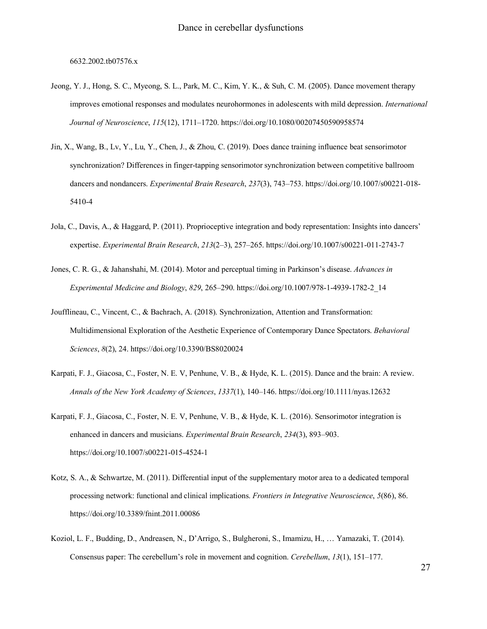6632.2002.tb07576.x

- Jeong, Y. J., Hong, S. C., Myeong, S. L., Park, M. C., Kim, Y. K., & Suh, C. M. (2005). Dance movement therapy improves emotional responses and modulates neurohormones in adolescents with mild depression. *International Journal of Neuroscience*, *115*(12), 1711–1720. https://doi.org/10.1080/00207450590958574
- Jin, X., Wang, B., Lv, Y., Lu, Y., Chen, J., & Zhou, C. (2019). Does dance training influence beat sensorimotor synchronization? Differences in finger-tapping sensorimotor synchronization between competitive ballroom dancers and nondancers. *Experimental Brain Research*, *237*(3), 743–753. https://doi.org/10.1007/s00221-018- 5410-4
- Jola, C., Davis, A., & Haggard, P. (2011). Proprioceptive integration and body representation: Insights into dancers' expertise. *Experimental Brain Research*, *213*(2–3), 257–265. https://doi.org/10.1007/s00221-011-2743-7
- Jones, C. R. G., & Jahanshahi, M. (2014). Motor and perceptual timing in Parkinson's disease. *Advances in Experimental Medicine and Biology*, *829*, 265–290. https://doi.org/10.1007/978-1-4939-1782-2\_14
- Joufflineau, C., Vincent, C., & Bachrach, A. (2018). Synchronization, Attention and Transformation: Multidimensional Exploration of the Aesthetic Experience of Contemporary Dance Spectators. *Behavioral Sciences*, *8*(2), 24. https://doi.org/10.3390/BS8020024
- Karpati, F. J., Giacosa, C., Foster, N. E. V, Penhune, V. B., & Hyde, K. L. (2015). Dance and the brain: A review. *Annals of the New York Academy of Sciences*, *1337*(1), 140–146. https://doi.org/10.1111/nyas.12632
- Karpati, F. J., Giacosa, C., Foster, N. E. V, Penhune, V. B., & Hyde, K. L. (2016). Sensorimotor integration is enhanced in dancers and musicians. *Experimental Brain Research*, *234*(3), 893–903. https://doi.org/10.1007/s00221-015-4524-1
- Kotz, S. A., & Schwartze, M. (2011). Differential input of the supplementary motor area to a dedicated temporal processing network: functional and clinical implications. *Frontiers in Integrative Neuroscience*, *5*(86), 86. https://doi.org/10.3389/fnint.2011.00086
- Koziol, L. F., Budding, D., Andreasen, N., D'Arrigo, S., Bulgheroni, S., Imamizu, H., … Yamazaki, T. (2014). Consensus paper: The cerebellum's role in movement and cognition. *Cerebellum*, *13*(1), 151–177.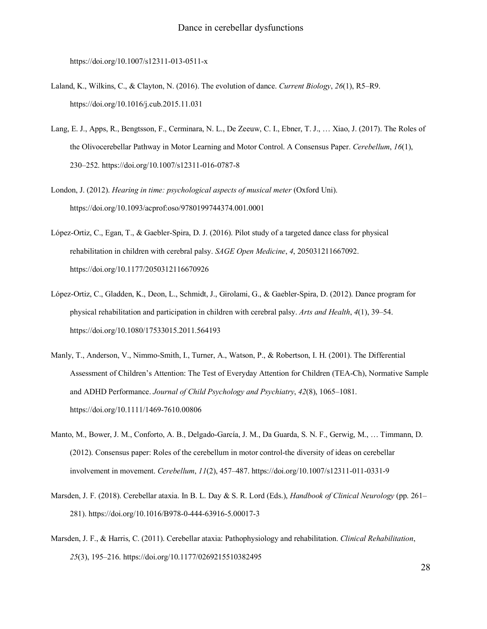https://doi.org/10.1007/s12311-013-0511-x

- Laland, K., Wilkins, C., & Clayton, N. (2016). The evolution of dance. *Current Biology*, *26*(1), R5–R9. https://doi.org/10.1016/j.cub.2015.11.031
- Lang, E. J., Apps, R., Bengtsson, F., Cerminara, N. L., De Zeeuw, C. I., Ebner, T. J., … Xiao, J. (2017). The Roles of the Olivocerebellar Pathway in Motor Learning and Motor Control. A Consensus Paper. *Cerebellum*, *16*(1), 230–252. https://doi.org/10.1007/s12311-016-0787-8
- London, J. (2012). *Hearing in time: psychological aspects of musical meter* (Oxford Uni). https://doi.org/10.1093/acprof:oso/9780199744374.001.0001
- López-Ortiz, C., Egan, T., & Gaebler-Spira, D. J. (2016). Pilot study of a targeted dance class for physical rehabilitation in children with cerebral palsy. *SAGE Open Medicine*, *4*, 205031211667092. https://doi.org/10.1177/2050312116670926
- López-Ortiz, C., Gladden, K., Deon, L., Schmidt, J., Girolami, G., & Gaebler-Spira, D. (2012). Dance program for physical rehabilitation and participation in children with cerebral palsy. *Arts and Health*, *4*(1), 39–54. https://doi.org/10.1080/17533015.2011.564193
- Manly, T., Anderson, V., Nimmo-Smith, I., Turner, A., Watson, P., & Robertson, I. H. (2001). The Differential Assessment of Children's Attention: The Test of Everyday Attention for Children (TEA-Ch), Normative Sample and ADHD Performance. *Journal of Child Psychology and Psychiatry*, *42*(8), 1065–1081. https://doi.org/10.1111/1469-7610.00806
- Manto, M., Bower, J. M., Conforto, A. B., Delgado-García, J. M., Da Guarda, S. N. F., Gerwig, M., … Timmann, D. (2012). Consensus paper: Roles of the cerebellum in motor control-the diversity of ideas on cerebellar involvement in movement. *Cerebellum*, *11*(2), 457–487. https://doi.org/10.1007/s12311-011-0331-9
- Marsden, J. F. (2018). Cerebellar ataxia. In B. L. Day & S. R. Lord (Eds.), *Handbook of Clinical Neurology* (pp. 261– 281). https://doi.org/10.1016/B978-0-444-63916-5.00017-3
- Marsden, J. F., & Harris, C. (2011). Cerebellar ataxia: Pathophysiology and rehabilitation. *Clinical Rehabilitation*, *25*(3), 195–216. https://doi.org/10.1177/0269215510382495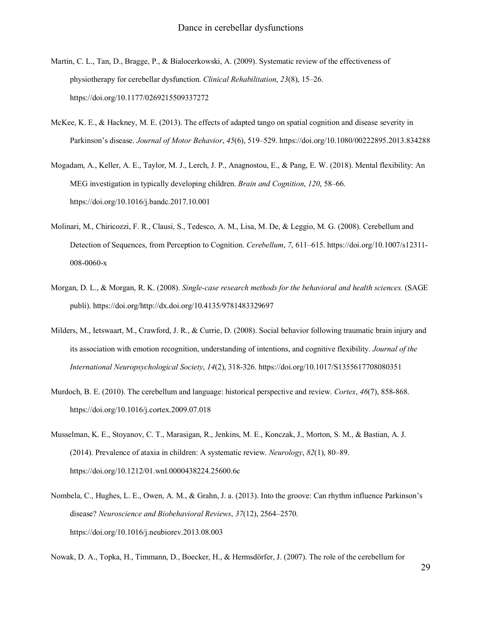- Martin, C. L., Tan, D., Bragge, P., & Bialocerkowski, A. (2009). Systematic review of the effectiveness of physiotherapy for cerebellar dysfunction. *Clinical Rehabilitation*, *23*(8), 15–26. https://doi.org/10.1177/0269215509337272
- McKee, K. E., & Hackney, M. E. (2013). The effects of adapted tango on spatial cognition and disease severity in Parkinson's disease. *Journal of Motor Behavior*, *45*(6), 519–529. https://doi.org/10.1080/00222895.2013.834288
- Mogadam, A., Keller, A. E., Taylor, M. J., Lerch, J. P., Anagnostou, E., & Pang, E. W. (2018). Mental flexibility: An MEG investigation in typically developing children. *Brain and Cognition*, *120*, 58–66. https://doi.org/10.1016/j.bandc.2017.10.001
- Molinari, M., Chiricozzi, F. R., Clausi, S., Tedesco, A. M., Lisa, M. De, & Leggio, M. G. (2008). Cerebellum and Detection of Sequences, from Perception to Cognition. *Cerebellum*, *7*, 611–615. https://doi.org/10.1007/s12311- 008-0060-x
- Morgan, D. L., & Morgan, R. K. (2008). *Single-case research methods for the behavioral and health sciences.* (SAGE publi). https://doi.org/http://dx.doi.org/10.4135/9781483329697
- Milders, M., Ietswaart, M., Crawford, J. R., & Currie, D. (2008). Social behavior following traumatic brain injury and its association with emotion recognition, understanding of intentions, and cognitive flexibility. *Journal of the International Neuropsychological Society*, *14*(2), 318-326. https://doi.org/10.1017/S1355617708080351
- Murdoch, B. E. (2010). The cerebellum and language: historical perspective and review. *Cortex*, *46*(7), 858-868. https://doi.org/10.1016/j.cortex.2009.07.018
- Musselman, K. E., Stoyanov, C. T., Marasigan, R., Jenkins, M. E., Konczak, J., Morton, S. M., & Bastian, A. J. (2014). Prevalence of ataxia in children: A systematic review. *Neurology*, *82*(1), 80–89. https://doi.org/10.1212/01.wnl.0000438224.25600.6c
- Nombela, C., Hughes, L. E., Owen, A. M., & Grahn, J. a. (2013). Into the groove: Can rhythm influence Parkinson's disease? *Neuroscience and Biobehavioral Reviews*, *37*(12), 2564–2570. https://doi.org/10.1016/j.neubiorev.2013.08.003

Nowak, D. A., Topka, H., Timmann, D., Boecker, H., & Hermsdörfer, J. (2007). The role of the cerebellum for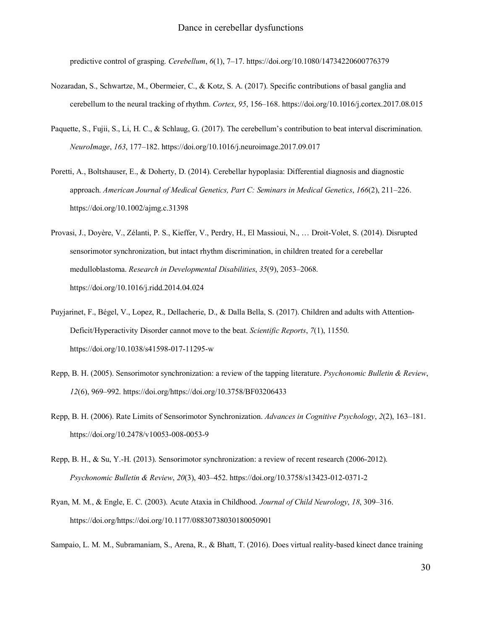predictive control of grasping. *Cerebellum*, *6*(1), 7–17. https://doi.org/10.1080/14734220600776379

- Nozaradan, S., Schwartze, M., Obermeier, C., & Kotz, S. A. (2017). Specific contributions of basal ganglia and cerebellum to the neural tracking of rhythm. *Cortex*, *95*, 156–168. https://doi.org/10.1016/j.cortex.2017.08.015
- Paquette, S., Fujii, S., Li, H. C., & Schlaug, G. (2017). The cerebellum's contribution to beat interval discrimination. *NeuroImage*, *163*, 177–182. https://doi.org/10.1016/j.neuroimage.2017.09.017
- Poretti, A., Boltshauser, E., & Doherty, D. (2014). Cerebellar hypoplasia: Differential diagnosis and diagnostic approach. *American Journal of Medical Genetics, Part C: Seminars in Medical Genetics*, *166*(2), 211–226. https://doi.org/10.1002/ajmg.c.31398
- Provasi, J., Doyère, V., Zélanti, P. S., Kieffer, V., Perdry, H., El Massioui, N., … Droit-Volet, S. (2014). Disrupted sensorimotor synchronization, but intact rhythm discrimination, in children treated for a cerebellar medulloblastoma. *Research in Developmental Disabilities*, *35*(9), 2053–2068. https://doi.org/10.1016/j.ridd.2014.04.024
- Puyjarinet, F., Bégel, V., Lopez, R., Dellacherie, D., & Dalla Bella, S. (2017). Children and adults with Attention-Deficit/Hyperactivity Disorder cannot move to the beat. *Scientific Reports*, *7*(1), 11550. https://doi.org/10.1038/s41598-017-11295-w
- Repp, B. H. (2005). Sensorimotor synchronization: a review of the tapping literature. *Psychonomic Bulletin & Review*, *12*(6), 969–992. https://doi.org/https://doi.org/10.3758/BF03206433
- Repp, B. H. (2006). Rate Limits of Sensorimotor Synchronization. *Advances in Cognitive Psychology*, *2*(2), 163–181. https://doi.org/10.2478/v10053-008-0053-9
- Repp, B. H., & Su, Y.-H. (2013). Sensorimotor synchronization: a review of recent research (2006-2012). *Psychonomic Bulletin & Review*, *20*(3), 403–452. https://doi.org/10.3758/s13423-012-0371-2
- Ryan, M. M., & Engle, E. C. (2003). Acute Ataxia in Childhood. *Journal of Child Neurology*, *18*, 309–316. https://doi.org/https://doi.org/10.1177/08830738030180050901

Sampaio, L. M. M., Subramaniam, S., Arena, R., & Bhatt, T. (2016). Does virtual reality-based kinect dance training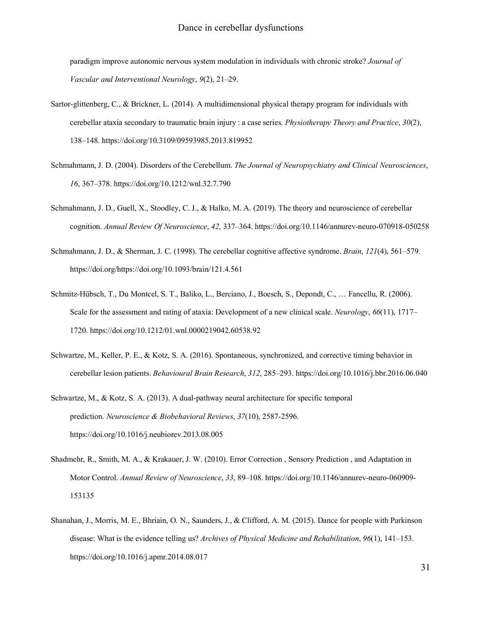paradigm improve autonomic nervous system modulation in individuals with chronic stroke? *Journal of Vascular and Interventional Neurology*, *9*(2), 21–29.

- Sartor-glittenberg, C., & Brickner, L. (2014). A multidimensional physical therapy program for individuals with cerebellar ataxia secondary to traumatic brain injury : a case series. *Physiotherapy Theory and Practice*, *30*(2), 138–148. https://doi.org/10.3109/09593985.2013.819952
- Schmahmann, J. D. (2004). Disorders of the Cerebellum. *The Journal of Neuropsychiatry and Clinical Neurosciences*, *16*, 367–378. https://doi.org/10.1212/wnl.32.7.790
- Schmahmann, J. D., Guell, X., Stoodley, C. J., & Halko, M. A. (2019). The theory and neuroscience of cerebellar cognition. *Annual Review Of Neuroscience*, *42*, 337–364. https://doi.org/10.1146/annurev-neuro-070918-050258
- Schmahmann, J. D., & Sherman, J. C. (1998). The cerebellar cognitive affective syndrome. *Brain*, *121*(4), 561–579. https://doi.org/https://doi.org/10.1093/brain/121.4.561
- Schmitz-Hübsch, T., Du Montcel, S. T., Baliko, L., Berciano, J., Boesch, S., Depondt, C., … Fancellu, R. (2006). Scale for the assessment and rating of ataxia: Development of a new clinical scale. *Neurology*, *66*(11), 1717– 1720. https://doi.org/10.1212/01.wnl.0000219042.60538.92
- Schwartze, M., Keller, P. E., & Kotz, S. A. (2016). Spontaneous, synchronized, and corrective timing behavior in cerebellar lesion patients. *Behavioural Brain Research*, *312*, 285–293. https://doi.org/10.1016/j.bbr.2016.06.040
- Schwartze, M., & Kotz, S. A. (2013). A dual-pathway neural architecture for specific temporal prediction. *Neuroscience & Biobehavioral Reviews*, *37*(10), 2587-2596. https://doi.org/10.1016/j.neubiorev.2013.08.005
- Shadmehr, R., Smith, M. A., & Krakauer, J. W. (2010). Error Correction , Sensory Prediction , and Adaptation in Motor Control. *Annual Review of Neuroscience*, *33*, 89–108. https://doi.org/10.1146/annurev-neuro-060909- 153135
- Shanahan, J., Morris, M. E., Bhriain, O. N., Saunders, J., & Clifford, A. M. (2015). Dance for people with Parkinson disease: What is the evidence telling us? *Archives of Physical Medicine and Rehabilitation*, *96*(1), 141–153. https://doi.org/10.1016/j.apmr.2014.08.017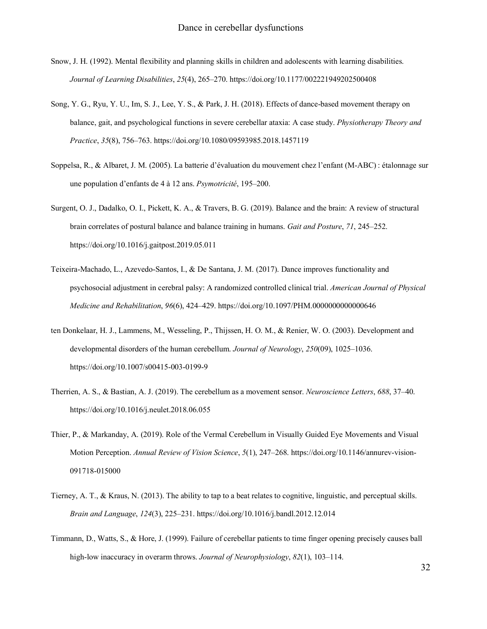- Snow, J. H. (1992). Mental flexibility and planning skills in children and adolescents with learning disabilities. *Journal of Learning Disabilities*, *25*(4), 265–270. https://doi.org/10.1177/002221949202500408
- Song, Y. G., Ryu, Y. U., Im, S. J., Lee, Y. S., & Park, J. H. (2018). Effects of dance-based movement therapy on balance, gait, and psychological functions in severe cerebellar ataxia: A case study. *Physiotherapy Theory and Practice*, *35*(8), 756–763. https://doi.org/10.1080/09593985.2018.1457119
- Soppelsa, R., & Albaret, J. M. (2005). La batterie d'évaluation du mouvement chez l'enfant (M-ABC) : étalonnage sur une population d'enfants de 4 à 12 ans. *Psymotricité*, 195–200.
- Surgent, O. J., Dadalko, O. I., Pickett, K. A., & Travers, B. G. (2019). Balance and the brain: A review of structural brain correlates of postural balance and balance training in humans. *Gait and Posture*, *71*, 245–252. https://doi.org/10.1016/j.gaitpost.2019.05.011
- Teixeira-Machado, L., Azevedo-Santos, I., & De Santana, J. M. (2017). Dance improves functionality and psychosocial adjustment in cerebral palsy: A randomized controlled clinical trial. *American Journal of Physical Medicine and Rehabilitation*, *96*(6), 424–429. https://doi.org/10.1097/PHM.0000000000000646
- ten Donkelaar, H. J., Lammens, M., Wesseling, P., Thijssen, H. O. M., & Renier, W. O. (2003). Development and developmental disorders of the human cerebellum. *Journal of Neurology*, *250*(09), 1025–1036. https://doi.org/10.1007/s00415-003-0199-9
- Therrien, A. S., & Bastian, A. J. (2019). The cerebellum as a movement sensor. *Neuroscience Letters*, *688*, 37–40. https://doi.org/10.1016/j.neulet.2018.06.055
- Thier, P., & Markanday, A. (2019). Role of the Vermal Cerebellum in Visually Guided Eye Movements and Visual Motion Perception. *Annual Review of Vision Science*, *5*(1), 247–268. https://doi.org/10.1146/annurev-vision-091718-015000
- Tierney, A. T., & Kraus, N. (2013). The ability to tap to a beat relates to cognitive, linguistic, and perceptual skills. *Brain and Language*, *124*(3), 225–231. https://doi.org/10.1016/j.bandl.2012.12.014
- Timmann, D., Watts, S., & Hore, J. (1999). Failure of cerebellar patients to time finger opening precisely causes ball high-low inaccuracy in overarm throws. *Journal of Neurophysiology*, *82*(1), 103–114.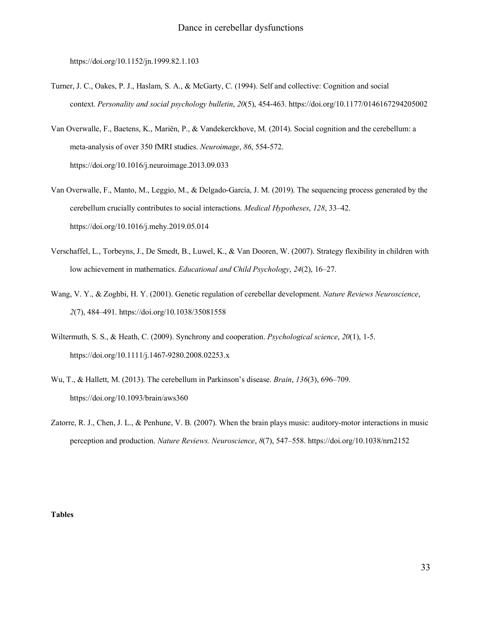https://doi.org/10.1152/jn.1999.82.1.103

- Turner, J. C., Oakes, P. J., Haslam, S. A., & McGarty, C. (1994). Self and collective: Cognition and social context. *Personality and social psychology bulletin*, *20*(5), 454-463. https://doi.org/10.1177/0146167294205002
- Van Overwalle, F., Baetens, K., Mariën, P., & Vandekerckhove, M. (2014). Social cognition and the cerebellum: a meta-analysis of over 350 fMRI studies. *Neuroimage*, *86*, 554-572. https://doi.org/10.1016/j.neuroimage.2013.09.033
- Van Overwalle, F., Manto, M., Leggio, M., & Delgado-García, J. M. (2019). The sequencing process generated by the cerebellum crucially contributes to social interactions. *Medical Hypotheses*, *128*, 33–42. https://doi.org/10.1016/j.mehy.2019.05.014
- Verschaffel, L., Torbeyns, J., De Smedt, B., Luwel, K., & Van Dooren, W. (2007). Strategy flexibility in children with low achievement in mathematics. *Educational and Child Psychology*, *24*(2), 16–27.
- Wang, V. Y., & Zoghbi, H. Y. (2001). Genetic regulation of cerebellar development. *Nature Reviews Neuroscience*, *2*(7), 484–491. https://doi.org/10.1038/35081558
- Wiltermuth, S. S., & Heath, C. (2009). Synchrony and cooperation. *Psychological science*, *20*(1), 1-5. https://doi.org/10.1111/j.1467-9280.2008.02253.x
- Wu, T., & Hallett, M. (2013). The cerebellum in Parkinson's disease. *Brain*, *136*(3), 696–709. https://doi.org/10.1093/brain/aws360
- Zatorre, R. J., Chen, J. L., & Penhune, V. B. (2007). When the brain plays music: auditory-motor interactions in music perception and production. *Nature Reviews. Neuroscience*, *8*(7), 547–558. https://doi.org/10.1038/nrn2152

**Tables**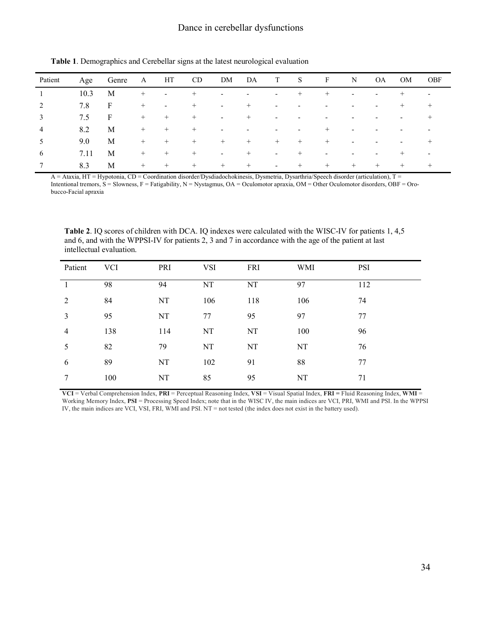| Patient | Age  | Genre | A      | HT                       | CD <sub>.</sub> | DM     | DA                       | T                        | <sub>S</sub>             | F                        | N                        | <b>OA</b>                | OM                       | OBF                      |
|---------|------|-------|--------|--------------------------|-----------------|--------|--------------------------|--------------------------|--------------------------|--------------------------|--------------------------|--------------------------|--------------------------|--------------------------|
|         | 10.3 | M     | $^{+}$ | $\sim$                   | $^{+}$          | $\sim$ | ٠                        | $\sim$                   | $^{+}$                   | $^{+}$                   | $\overline{\phantom{a}}$ | $\overline{\phantom{a}}$ | $^{+}$                   | $\overline{\phantom{a}}$ |
| 2       | 7.8  | F     | $^{+}$ | $\overline{\phantom{a}}$ | $^{+}$          | $\sim$ | $^{+}$                   | $\overline{\phantom{a}}$ | $\overline{\phantom{0}}$ | $\overline{\phantom{0}}$ | $\overline{\phantom{0}}$ | $\overline{a}$           | $^{+}$                   | $+$                      |
| 3       | 7.5  | F     | $^{+}$ | $^{+}$                   | $^{+}$          | $\sim$ | $^{+}$                   | $\overline{\phantom{a}}$ | $\overline{\phantom{0}}$ |                          |                          | ٠                        | $\overline{\phantom{a}}$ | $^{+}$                   |
| 4       | 8.2  | M     | $^{+}$ | $^{+}$                   | $^{+}$          | $\sim$ | $\overline{\phantom{0}}$ | $\overline{\phantom{0}}$ | ۰                        | $^{+}$                   | $\overline{\phantom{0}}$ |                          | -                        |                          |
| 5       | 9.0  | M     | $^{+}$ | $^{+}$                   | $+$             | $+$    | $+$                      | $+$                      | $^{+}$                   | $+$                      | ۰                        | $\overline{a}$           | $\overline{\phantom{a}}$ | $+$                      |
| 6       | 7.11 | M     | $+$    | $+$                      | $+$             | $\sim$ | $+$                      | $\overline{\phantom{a}}$ | $^{+}$                   | $\overline{\phantom{a}}$ | -                        | $\overline{a}$           | $^{+}$                   | $\overline{\phantom{a}}$ |
|         | 8.3  | M     | $^{+}$ | $+$                      | $+$             | $+$    | $+$                      | $\overline{\phantom{a}}$ | $^{+}$                   | $+$                      | $+$                      | $+$                      | $^{+}$                   | $^{+}$                   |

**Table 1**. Demographics and Cerebellar signs at the latest neurological evaluation

A = Ataxia, HT = Hypotonia, CD = Coordination disorder/Dysdiadochokinesis, Dysmetria, Dysarthria/Speech disorder (articulation), T = Intentional tremors, S = Slowness, F = Fatigability, N = Nystagmus, OA = Oculomotor apraxia, OM = Other Oculomotor disorders, OBF = Oro-

bucco-Facial apraxia

**Table 2**. IQ scores of children with DCA. IQ indexes were calculated with the WISC-IV for patients 1, 4,5 and 6, and with the WPPSI-IV for patients 2, 3 and 7 in accordance with the age of the patient at last intellectual evaluation.

| Patient | <b>VCI</b> | PRI | <b>VSI</b> | <b>FRI</b> | WMI | <b>PSI</b> |
|---------|------------|-----|------------|------------|-----|------------|
|         | 98         | 94  | NT         | NT         | 97  | 112        |
| 2       | 84         | NT  | 106        | 118        | 106 | 74         |
| 3       | 95         | NT  | 77         | 95         | 97  | 77         |
| 4       | 138        | 114 | NT         | NT         | 100 | 96         |
| 5       | 82         | 79  | NT         | NT         | NT  | 76         |
| 6       | 89         | NT  | 102        | 91         | 88  | 77         |
| 7       | 100        | NT  | 85         | 95         | NT  | 71         |

**VCI** = Verbal Comprehension Index, **PRI** = Perceptual Reasoning Index, **VSI** = Visual Spatial Index, **FRI =** Fluid Reasoning Index, **WMI** = Working Memory Index, **PSI** = Processing Speed Index; note that in the WISC IV, the main indices are VCI, PRI, WMI and PSI. In the WPPSI IV, the main indices are VCI, VSI, FRI, WMI and PSI. NT = not tested (the index does not exist in the battery used).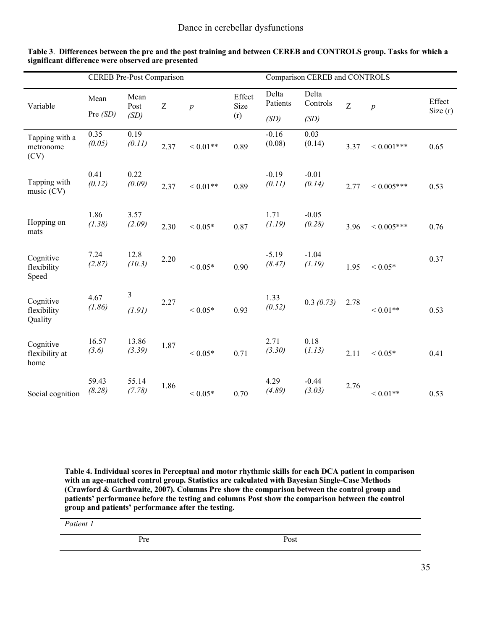|                                     | <b>CEREB</b> Pre-Post Comparison |                          |      |                    |                | Comparison CEREB and CONTROLS |                   |      |                  |            |  |
|-------------------------------------|----------------------------------|--------------------------|------|--------------------|----------------|-------------------------------|-------------------|------|------------------|------------|--|
| Variable                            | Mean                             | Mean<br>Post             | Z    | $\overline{p}$     | Effect<br>Size | Delta<br>Patients             | Delta<br>Controls | Z    | $\boldsymbol{p}$ | Effect     |  |
|                                     | Pre $(SD)$                       | (SD)                     |      |                    | (r)            | (SD)                          | (SD)              |      |                  | Size $(r)$ |  |
| Tapping with a<br>metronome<br>(CV) | 0.35<br>(0.05)                   | 0.19<br>(0.11)           | 2.37 | ${}< 0.01**$       | 0.89           | $-0.16$<br>(0.08)             | 0.03<br>(0.14)    | 3.37 | ${}< 0.001$ ***  | 0.65       |  |
| Tapping with<br>music (CV)          | 0.41<br>(0.12)                   | 0.22<br>(0.09)           | 2.37 | ${}_{\leq 0.01**}$ | 0.89           | $-0.19$<br>(0.11)             | $-0.01$<br>(0.14) | 2.77 | ${}< 0.005$ ***  | 0.53       |  |
| Hopping on<br>mats                  | 1.86<br>(1.38)                   | 3.57<br>(2.09)           | 2.30 | ${}< 0.05*$        | 0.87           | 1.71<br>(1.19)                | $-0.05$<br>(0.28) | 3.96 | ${}< 0.005$ ***  | 0.76       |  |
| Cognitive<br>flexibility<br>Speed   | 7.24<br>(2.87)                   | 12.8<br>(10.3)           | 2.20 | ${}< 0.05*$        | 0.90           | $-5.19$<br>(8.47)             | $-1.04$<br>(1.19) | 1.95 | ${}< 0.05*$      | 0.37       |  |
| Cognitive<br>flexibility<br>Quality | 4.67<br>(1.86)                   | $\mathfrak{Z}$<br>(1.91) | 2.27 | ${}< 0.05*$        | 0.93           | 1.33<br>(0.52)                | 0.3(0.73)         | 2.78 | ${}< 0.01**$     | 0.53       |  |
| Cognitive<br>flexibility at<br>home | 16.57<br>(3.6)                   | 13.86<br>(3.39)          | 1.87 | ${}< 0.05*$        | 0.71           | 2.71<br>(3.30)                | 0.18<br>(1.13)    | 2.11 | ${}< 0.05*$      | 0.41       |  |
| Social cognition                    | 59.43<br>(8.28)                  | 55.14<br>(7.78)          | 1.86 | ${}< 0.05*$        | 0.70           | 4.29<br>(4.89)                | $-0.44$<br>(3.03) | 2.76 | ${}< 0.01**$     | 0.53       |  |

**Table 3**. **Differences between the pre and the post training and between CEREB and CONTROLS group. Tasks for which a significant difference were observed are presented**

**Table 4. Individual scores in Perceptual and motor rhythmic skills for each DCA patient in comparison with an age-matched control group. Statistics are calculated with Bayesian Single-Case Methods (Crawford & Garthwaite, 2007). Columns Pre show the comparison between the control group and patients' performance before the testing and columns Post show the comparison between the control group and patients' performance after the testing.** 

*Patient 1*

Pre Post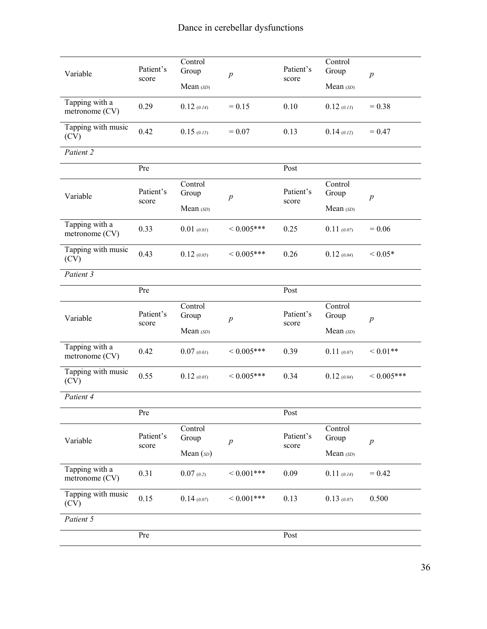| Variable                         | Patient's<br>score | Control<br>Group | $\boldsymbol{p}$ | Patient's<br>score | Control<br>Group | $\boldsymbol{p}$ |
|----------------------------------|--------------------|------------------|------------------|--------------------|------------------|------------------|
|                                  |                    | Mean (SD)        |                  |                    | Mean (SD)        |                  |
| Tapping with a<br>metronome (CV) | 0.29               | 0.12(0.14)       | $= 0.15$         | 0.10               | $0.12$ (0.13)    | $= 0.38$         |
| Tapping with music<br>(CV)       | 0.42               | 0.15(0.15)       | $= 0.07$         | 0.13               | 0.14(0.12)       | $= 0.47$         |
| Patient 2                        |                    |                  |                  |                    |                  |                  |
|                                  | Pre                |                  |                  | Post               |                  |                  |
| Variable                         | Patient's          | Control<br>Group | $\boldsymbol{p}$ | Patient's          | Control<br>Group | $\boldsymbol{p}$ |
|                                  | score              | Mean (SD)        |                  | score              | Mean (SD)        |                  |
| Tapping with a<br>metronome (CV) | 0.33               | $0.01$ (0.01)    | ${}< 0.005$ ***  | 0.25               | 0.11(0.07)       | $= 0.06$         |
| Tapping with music<br>(CV)       | 0.43               | 0.12(0.05)       | ${}< 0.005$ ***  | 0.26               | 0.12(0.04)       | ${}< 0.05*$      |
| Patient 3                        |                    |                  |                  |                    |                  |                  |
|                                  | Pre                |                  |                  | Post               |                  |                  |
| Variable                         | Patient's<br>score | Control<br>Group | $\overline{p}$   | Patient's<br>score | Control<br>Group | $\boldsymbol{p}$ |
|                                  |                    | Mean (SD)        |                  |                    | Mean (SD)        |                  |
| Tapping with a<br>metronome (CV) | 0.42               | 0.07(0.01)       | ${}<0.005***$    | 0.39               | 0.11(0.07)       | ${}< 0.01**$     |
| Tapping with music<br>(CV)       | 0.55               | 0.12(0.05)       | ${}<0.005***$    | 0.34               | 0.12(0.04)       | ${}< 0.005$ ***  |
| Patient 4                        |                    |                  |                  |                    |                  |                  |
|                                  | Pre                |                  |                  | Post               |                  |                  |
| Variable                         | Patient's          | Control<br>Group | $\boldsymbol{p}$ | Patient's          | Control<br>Group | $\boldsymbol{p}$ |
|                                  | score              | Mean (sD)        |                  | score              | Mean (SD)        |                  |
| Tapping with a<br>metronome (CV) | 0.31               | 0.07(0.2)        | ${}<0.001***$    | 0.09               | 0.11(0.14)       | $= 0.42$         |
| Tapping with music<br>(CV)       | 0.15               | 0.14(0.07)       | ${}<0.001$ ***   | 0.13               | 0.13(0.07)       | 0.500            |
| Patient 5                        |                    |                  |                  |                    |                  |                  |
|                                  | Pre                |                  |                  | Post               |                  |                  |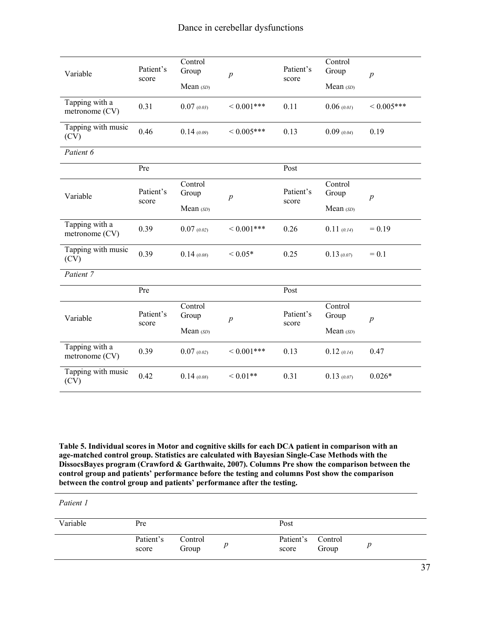| Variable                         | Patient's<br>score | Control<br>Group<br>Mean (SD) | $\overline{p}$     | Patient's<br>score | Control<br>Group<br>Mean (SD) | $\boldsymbol{p}$ |  |
|----------------------------------|--------------------|-------------------------------|--------------------|--------------------|-------------------------------|------------------|--|
| Tapping with a<br>metronome (CV) | 0.31               | 0.07(0.03)                    | ${}< 0.001$ ***    | 0.11               | 0.06(0.01)                    | ${}< 0.005$ ***  |  |
| Tapping with music<br>(CV)       | 0.46               | 0.14(0.09)                    | ${}< 0.005$ ***    | 0.13               | 0.09(0.04)                    | 0.19             |  |
| Patient 6                        |                    |                               |                    |                    |                               |                  |  |
|                                  | Pre                |                               |                    | Post               |                               |                  |  |
| Variable                         | Patient's<br>score | Control<br>Group              | $\overline{p}$     | Patient's<br>score | Control<br>Group              | $\boldsymbol{p}$ |  |
|                                  |                    | Mean (SD)                     |                    |                    | Mean (SD)                     |                  |  |
| Tapping with a<br>metronome (CV) | 0.39               | 0.07(0.02)                    | ${}< 0.001$ ***    | 0.26               | 0.11(0.14)                    | $= 0.19$         |  |
| Tapping with music<br>(CV)       | 0.39               | 0.14(0.08)                    | ${}< 0.05*$        | 0.25               | 0.13(0.07)                    | $= 0.1$          |  |
| Patient 7                        |                    |                               |                    |                    |                               |                  |  |
|                                  | Pre                |                               |                    | Post               |                               |                  |  |
| Variable                         | Patient's<br>score | Control<br>Group              | $\boldsymbol{p}$   | Patient's<br>score | Control<br>Group              | $\boldsymbol{p}$ |  |
|                                  |                    | Mean (SD)                     |                    |                    | Mean (SD)                     |                  |  |
| Tapping with a<br>metronome (CV) | 0.39               | 0.07(0.02)                    | ${}< 0.001$ ***    | 0.13               | 0.12(0.14)                    | 0.47             |  |
| Tapping with music<br>(CV)       | 0.42               | 0.14(0.08)                    | ${}_{\leq 0.01**}$ | 0.31               | 0.13(0.07)                    | $0.026*$         |  |

**Table 5. Individual scores in Motor and cognitive skills for each DCA patient in comparison with an age-matched control group. Statistics are calculated with Bayesian Single-Case Methods with the DissocsBayes program (Crawford & Garthwaite, 2007). Columns Pre show the comparison between the control group and patients' performance before the testing and columns Post show the comparison between the control group and patients' performance after the testing.** 

*Patient 1* 

| Variable | Pre                |                  | Post                       |       |  |  |  |
|----------|--------------------|------------------|----------------------------|-------|--|--|--|
|          | Patient's<br>score | Control<br>Group | Patient's Control<br>score | Group |  |  |  |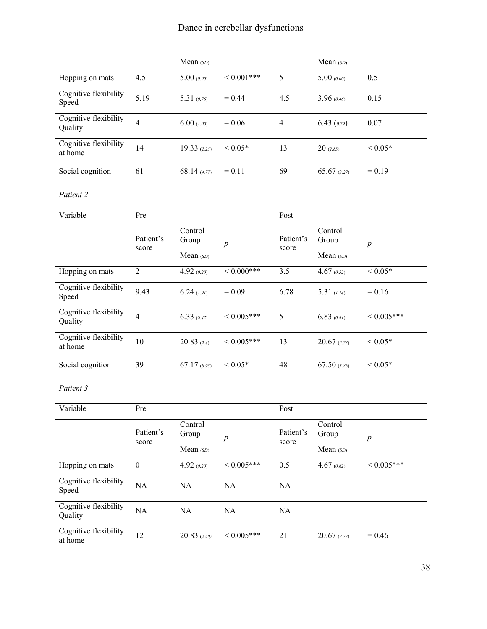|                                  |                    | Mean (SD)                     |                      |                    | Mean (SD)                     |                  |
|----------------------------------|--------------------|-------------------------------|----------------------|--------------------|-------------------------------|------------------|
| Hopping on mats                  | 4.5                | 5.00(0.00)                    | ${}< 0.001$ ***      | $\overline{5}$     | 5.00(0.00)                    | 0.5              |
| Cognitive flexibility<br>Speed   | 5.19               | 5.31 $(0.76)$                 | $= 0.44$             | 4.5                | 3.96(0.46)                    | 0.15             |
| Cognitive flexibility<br>Quality | $\overline{4}$     | 6.00(1.00)                    | $= 0.06$             | $\overline{4}$     | $6.43$ $(0.79)$               | 0.07             |
| Cognitive flexibility<br>at home | 14                 | 19.33(2.25)                   | ${}< 0.05*$          | 13                 | 20(2.83)                      | ${}< 0.05*$      |
| Social cognition                 | 61                 | 68.14 (4.77)                  | $= 0.11$             | 69                 | $65.67$ (3.27)                | $= 0.19$         |
| Patient 2                        |                    |                               |                      |                    |                               |                  |
| Variable                         | Pre                |                               |                      | Post               |                               |                  |
|                                  | Patient's<br>score | Control<br>Group<br>Mean (SD) | $\overline{p}$       | Patient's<br>score | Control<br>Group<br>Mean (SD) | $\boldsymbol{p}$ |
| Hopping on mats                  | $\overline{2}$     | 4.92(0.20)                    | $< 0.000$ ***        | 3.5                | 4.67(0.52)                    | ${}< 0.05*$      |
| Cognitive flexibility<br>Speed   | 9.43               | $6.24$ (1.91)                 | $= 0.09$             | 6.78               | $5.31 \t(1.24)$               | $= 0.16$         |
| Cognitive flexibility<br>Quality | $\overline{4}$     | 6.33(0.42)                    | ${}< 0.005$ ***      | 5                  | 6.83(0.41)                    | ${}<0.005***$    |
| Cognitive flexibility<br>at home | 10                 | 20.83(2.4)                    | ${}<0.005***$        | 13                 | 20.67(2.73)                   | ${}< 0.05*$      |
| Social cognition                 | 39                 | $67.17$ (8.93)                | ${}< 0.05*$          | 48                 | 67.50 $(5.86)$                | ${}< 0.05*$      |
| Patient 3                        |                    |                               |                      |                    |                               |                  |
| Variable                         | Pre                |                               |                      | Post               |                               |                  |
|                                  | Patient's<br>score | Control<br>Group              | $\overline{p}$       | Patient's<br>score | Control<br>Group              | $\boldsymbol{p}$ |
|                                  |                    | Mean (SD)                     |                      |                    | Mean (SD)                     |                  |
| Hopping on mats                  | $\boldsymbol{0}$   | 4.92(0.20)                    | ${}_{\leq 0.005***}$ | 0.5                | 4.67(0.62)                    | ${}< 0.005$ ***  |
| Cognitive flexibility<br>Speed   | $\rm NA$           | $\rm NA$                      | NA                   | NA                 |                               |                  |
| Cognitive flexibility<br>Quality | $\rm NA$           | NA                            | NA                   | NA                 |                               |                  |
| Cognitive flexibility<br>at home | 12                 | 20.83(2.40)                   | ${}<0.005***$        | 21                 | 20.67(2.73)                   | $= 0.46$         |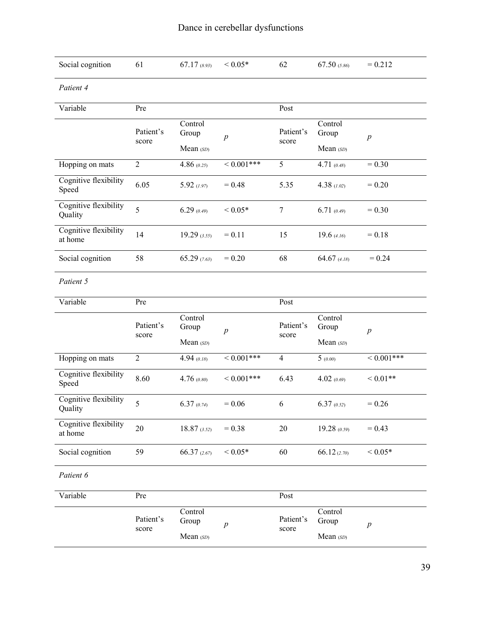| Social cognition                 | 61                 | $67.17$ (8.93)                | ${}< 0.05*$      | 62                 | 67.50 $(5.86)$                | $= 0.212$        |
|----------------------------------|--------------------|-------------------------------|------------------|--------------------|-------------------------------|------------------|
| Patient 4                        |                    |                               |                  |                    |                               |                  |
| Variable                         | Pre                |                               |                  | Post               |                               |                  |
|                                  | Patient's<br>score | Control<br>Group              | $\overline{p}$   | Patient's<br>score | Control<br>Group              | p                |
|                                  |                    | Mean (SD)                     |                  |                    | Mean (SD)                     |                  |
| Hopping on mats                  | $\overline{2}$     | 4.86(0.25)                    | $\leq 0.001$ *** | $\overline{5}$     | 4.71(0.48)                    | $= 0.30$         |
| Cognitive flexibility<br>Speed   | 6.05               | 5.92(1.97)                    | $= 0.48$         | 5.35               | 4.38 $(1.02)$                 | $= 0.20$         |
| Cognitive flexibility<br>Quality | 5                  | 6.29(0.49)                    | ${}< 0.05*$      | $\tau$             | 6.71(0.49)                    | $= 0.30$         |
| Cognitive flexibility<br>at home | 14                 | $19.29$ (3.55)                | $= 0.11$         | 15                 | 19.6 $(4.16)$                 | $= 0.18$         |
| Social cognition                 | 58                 | 65.29(7.63)                   | $= 0.20$         | 68                 | $64.67$ (4.18)                | $= 0.24$         |
| Patient 5                        |                    |                               |                  |                    |                               |                  |
| Variable                         | Pre                |                               |                  | Post               |                               |                  |
|                                  | Patient's<br>score | Control<br>Group              | $\boldsymbol{p}$ | Patient's<br>score | Control<br>Group              | $\boldsymbol{p}$ |
|                                  |                    | Mean (SD)                     |                  |                    | Mean (SD)                     |                  |
| Hopping on mats                  | $\overline{2}$     | 4.94 $(0.18)$                 | $\leq 0.001$ *** | $\overline{4}$     | $\overline{5}$ (0.00)         | $\leq 0.001***$  |
| Cognitive flexibility<br>Speed   | 8.60               | 4.76(0.80)                    | ${}<0.001$ ***   | 6.43               | 4.02(0.69)                    | ${}< 0.01**$     |
| Cognitive flexibility<br>Quality | 5                  | 6.37(0.74)                    | $= 0.06$         | 6                  | 6.37(0.52)                    | $= 0.26$         |
| Cognitive flexibility<br>at home | 20                 | $18.87$ (3.52)                | $= 0.38$         | $20\,$             | 19.28 (0.59)                  | $= 0.43$         |
| Social cognition                 | 59                 | 66.37 (2.67)                  | ${}< 0.05*$      | 60                 | 66.12 (2.70)                  | ${}< 0.05*$      |
| Patient 6                        |                    |                               |                  |                    |                               |                  |
| Variable                         | Pre                |                               |                  | Post               |                               |                  |
|                                  | Patient's<br>score | Control<br>Group<br>Mean (SD) | $\boldsymbol{p}$ | Patient's<br>score | Control<br>Group<br>Mean (SD) | $p\,$            |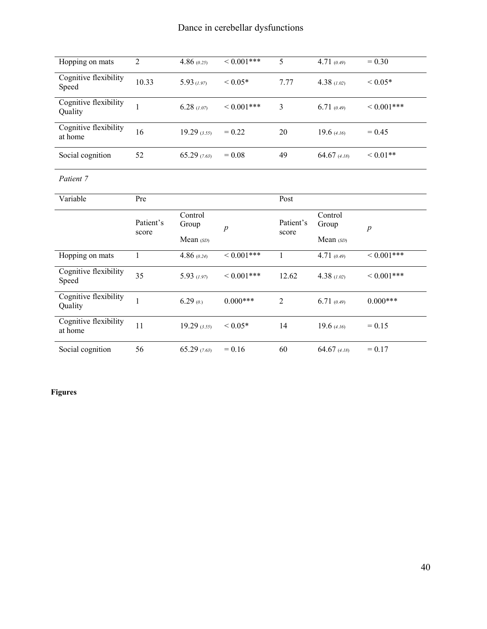| Hopping on mats                  | $\overline{2}$     | 4.86(0.25)                    | ${}_{\leq 0.001***}$ | 5                  | 4.71(0.49)                    | $= 0.30$         |
|----------------------------------|--------------------|-------------------------------|----------------------|--------------------|-------------------------------|------------------|
| Cognitive flexibility<br>Speed   | 10.33              | 5.93(1.97)                    | ${}< 0.05*$          | 7.77               | 4.38 $(1.02)$                 | ${}< 0.05*$      |
| Cognitive flexibility<br>Quality | $\mathbf{1}$       | 6.28(1.07)                    | ${}_{\leq 0.001***}$ | $\overline{3}$     | 6.71(0.49)                    | ${}<0.001***$    |
| Cognitive flexibility<br>at home | 16                 | $19.29$ (3.55)                | $= 0.22$             | 20                 | 19.6 $(4.16)$                 | $= 0.45$         |
| Social cognition                 | 52                 | 65.29(7.63)                   | $= 0.08$             | 49                 | 64.67 $(4.18)$                | ${}< 0.01**$     |
| Patient 7                        |                    |                               |                      |                    |                               |                  |
| Variable                         | Pre                |                               |                      | Post               |                               |                  |
|                                  |                    |                               |                      |                    |                               |                  |
|                                  | Patient's<br>score | Control<br>Group<br>Mean (SD) | $\boldsymbol{p}$     | Patient's<br>score | Control<br>Group<br>Mean (SD) | $\boldsymbol{p}$ |
| Hopping on mats                  | $\mathbf{1}$       | 4.86 $(0.24)$                 | ${}< 0.001$ ***      | $\mathbf{1}$       | 4.71 $(0.49)$                 | ${}< 0.001$ ***  |
| Cognitive flexibility<br>Speed   | 35                 | 5.93(1.97)                    | ${}<0.001***$        | 12.62              | 4.38(1.02)                    | ${}<0.001***$    |
| Cognitive flexibility<br>Quality | $\mathbf{1}$       | 6.29(0.0)                     | $0.000***$           | $\overline{2}$     | 6.71(0.49)                    | $0.000***$       |
| Cognitive flexibility<br>at home | 11                 | $19.29$ (3.55)                | ${}< 0.05*$          | 14                 | 19.6 $(4.16)$                 | $= 0.15$         |

## **Figures**